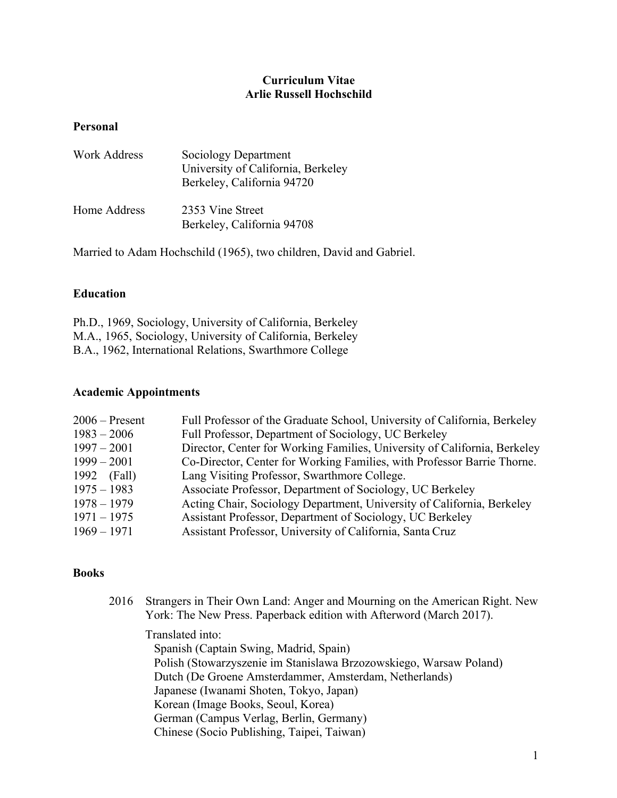## **Curriculum Vitae Arlie Russell Hochschild**

## **Personal**

| <b>Work Address</b> | Sociology Department<br>University of California, Berkeley<br>Berkeley, California 94720 |
|---------------------|------------------------------------------------------------------------------------------|
| Home Address        | 2353 Vine Street<br>Berkeley, California 94708                                           |

Married to Adam Hochschild (1965), two children, David and Gabriel.

# **Education**

Ph.D., 1969, Sociology, University of California, Berkeley M.A., 1965, Sociology, University of California, Berkeley B.A., 1962, International Relations, Swarthmore College

## **Academic Appointments**

| $2006$ – Present | Full Professor of the Graduate School, University of California, Berkeley |
|------------------|---------------------------------------------------------------------------|
| $1983 - 2006$    | Full Professor, Department of Sociology, UC Berkeley                      |
| $1997 - 2001$    | Director, Center for Working Families, University of California, Berkeley |
| $1999 - 2001$    | Co-Director, Center for Working Families, with Professor Barrie Thorne.   |
| 1992 (Fall)      | Lang Visiting Professor, Swarthmore College.                              |
| $1975 - 1983$    | Associate Professor, Department of Sociology, UC Berkeley                 |
| $1978 - 1979$    | Acting Chair, Sociology Department, University of California, Berkeley    |
| $1971 - 1975$    | Assistant Professor, Department of Sociology, UC Berkeley                 |
| $1969 - 1971$    | Assistant Professor, University of California, Santa Cruz                 |

### **Books**

| 2016 | Strangers in Their Own Land: Anger and Mourning on the American Right. New<br>York: The New Press. Paperback edition with Afterword (March 2017). |
|------|---------------------------------------------------------------------------------------------------------------------------------------------------|
|      | Translated into:                                                                                                                                  |
|      | Spanish (Captain Swing, Madrid, Spain)                                                                                                            |
|      | Polish (Stowarzyszenie im Stanislawa Brzozowskiego, Warsaw Poland)                                                                                |
|      | Dutch (De Groene Amsterdammer, Amsterdam, Netherlands)                                                                                            |
|      | Japanese (Iwanami Shoten, Tokyo, Japan)                                                                                                           |
|      | Korean (Image Books, Seoul, Korea)                                                                                                                |
|      | German (Campus Verlag, Berlin, Germany)                                                                                                           |
|      | Chinese (Socio Publishing, Taipei, Taiwan)                                                                                                        |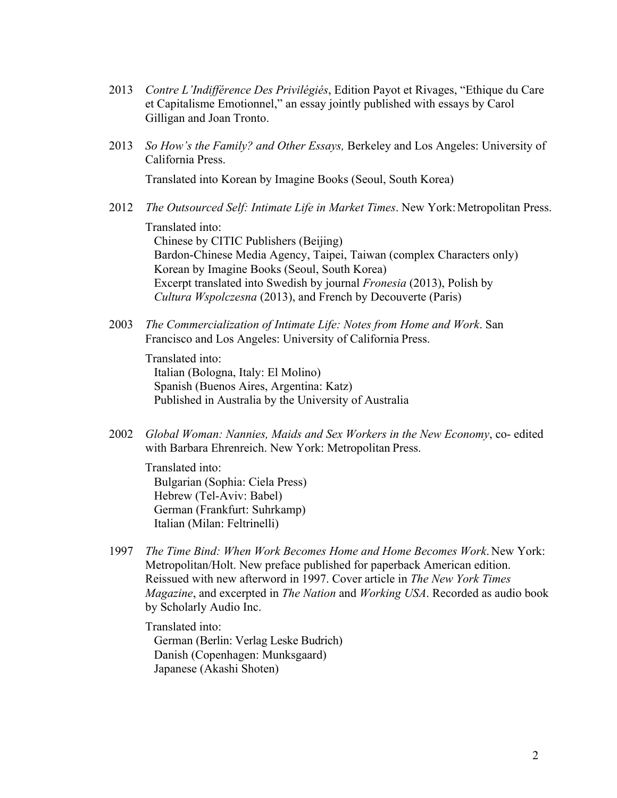- 2013 *Contre L'Indifférence Des Privilégiés*, Edition Payot et Rivages, "Ethique du Care et Capitalisme Emotionnel," an essay jointly published with essays by Carol Gilligan and Joan Tronto.
- 2013 *So How's the Family? and Other Essays,* Berkeley and Los Angeles: University of California Press.

Translated into Korean by Imagine Books (Seoul, South Korea)

2012 *The Outsourced Self: Intimate Life in Market Times*. New York: Metropolitan Press.

Translated into: Chinese by CITIC Publishers (Beijing) Bardon-Chinese Media Agency, Taipei, Taiwan (complex Characters only) Korean by Imagine Books (Seoul, South Korea) Excerpt translated into Swedish by journal *Fronesia* (2013), Polish by *Cultura Wspolczesna* (2013), and French by Decouverte (Paris)

2003 *The Commercialization of Intimate Life: Notes from Home and Work*. San Francisco and Los Angeles: University of California Press.

Translated into: Italian (Bologna, Italy: El Molino) Spanish (Buenos Aires, Argentina: Katz) Published in Australia by the University of Australia

2002 *Global Woman: Nannies, Maids and Sex Workers in the New Economy*, co- edited with Barbara Ehrenreich. New York: Metropolitan Press.

Translated into: Bulgarian (Sophia: Ciela Press) Hebrew (Tel-Aviv: Babel) German (Frankfurt: Suhrkamp) Italian (Milan: Feltrinelli)

1997 *The Time Bind: When Work Becomes Home and Home Becomes Work*. New York: Metropolitan/Holt. New preface published for paperback American edition. Reissued with new afterword in 1997. Cover article in *The New York Times Magazine*, and excerpted in *The Nation* and *Working USA*. Recorded as audio book by Scholarly Audio Inc.

Translated into: German (Berlin: Verlag Leske Budrich) Danish (Copenhagen: Munksgaard) Japanese (Akashi Shoten)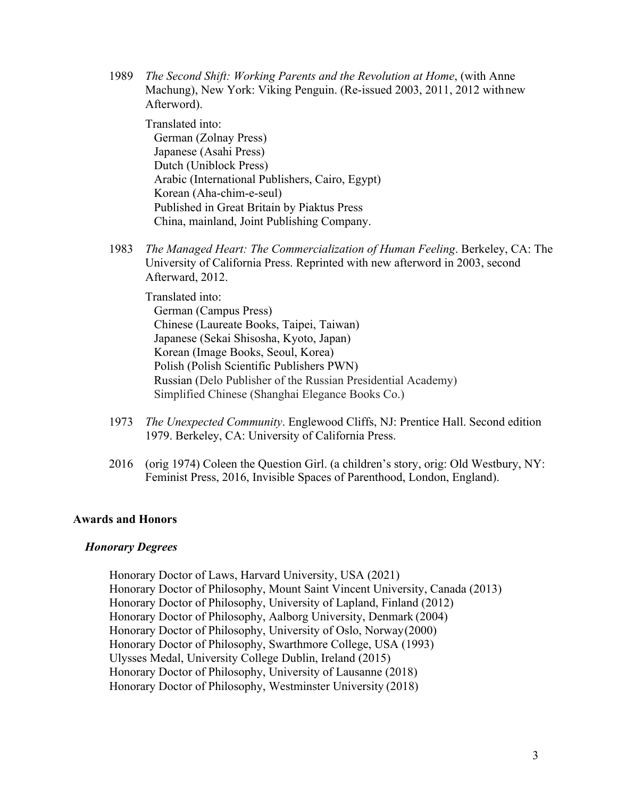1989 *The Second Shift: Working Parents and the Revolution at Home*, (with Anne Machung), New York: Viking Penguin. (Re-issued 2003, 2011, 2012 withnew Afterword).

Translated into:

German (Zolnay Press) Japanese (Asahi Press) Dutch (Uniblock Press) Arabic (International Publishers, Cairo, Egypt) Korean (Aha-chim-e-seul) Published in Great Britain by Piaktus Press China, mainland, Joint Publishing Company.

1983 *The Managed Heart: The Commercialization of Human Feeling*. Berkeley, CA: The University of California Press. Reprinted with new afterword in 2003, second Afterward, 2012.

Translated into: German (Campus Press) Chinese (Laureate Books, Taipei, Taiwan) Japanese (Sekai Shisosha, Kyoto, Japan) Korean (Image Books, Seoul, Korea) Polish (Polish Scientific Publishers PWN) Russian (Delo Publisher of the Russian Presidential Academy) Simplified Chinese (Shanghai Elegance Books Co.)

- 1973 *The Unexpected Community*. Englewood Cliffs, NJ: Prentice Hall. Second edition 1979. Berkeley, CA: University of California Press.
- 2016 (orig 1974) Coleen the Question Girl. (a children's story, orig: Old Westbury, NY: Feminist Press, 2016, Invisible Spaces of Parenthood, London, England).

### **Awards and Honors**

#### *Honorary Degrees*

Honorary Doctor of Laws, Harvard University, USA (2021) Honorary Doctor of Philosophy, Mount Saint Vincent University, Canada (2013) Honorary Doctor of Philosophy, University of Lapland, Finland (2012) Honorary Doctor of Philosophy, Aalborg University, Denmark (2004) Honorary Doctor of Philosophy, University of Oslo, Norway(2000) Honorary Doctor of Philosophy, Swarthmore College, USA (1993) Ulysses Medal, University College Dublin, Ireland (2015) Honorary Doctor of Philosophy, University of Lausanne (2018) Honorary Doctor of Philosophy, Westminster University (2018)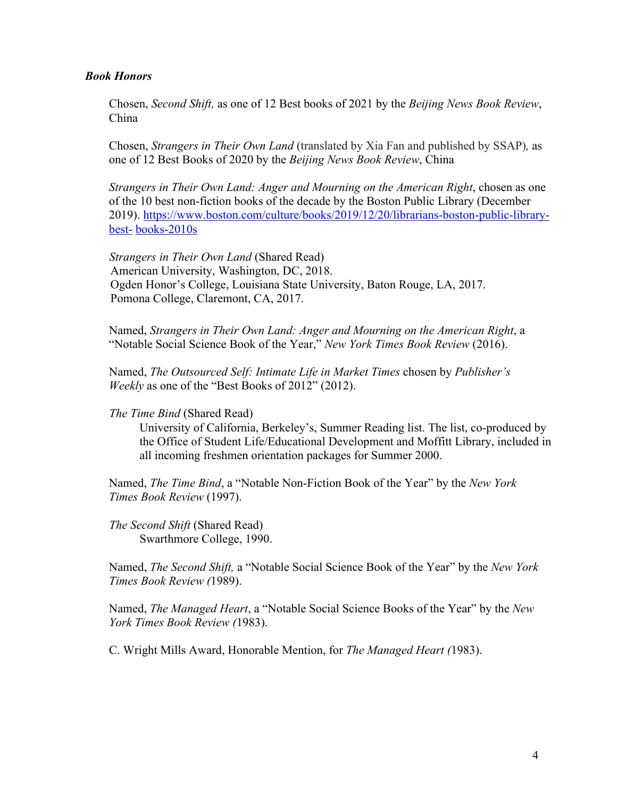#### *Book Honors*

Chosen, *Second Shift,* as one of 12 Best books of 2021 by the *Beijing News Book Review*, China

Chosen, *Strangers in Their Own Land* (translated by Xia Fan and published by SSAP)*,* as one of 12 Best Books of 2020 by the *Beijing News Book Review*, China

*Strangers in Their Own Land: Anger and Mourning on the American Right*, chosen as one of the 10 best non-fiction books of the decade by the Boston Public Library (December 2019). https://www.boston.com/culture/books/2019/12/20/librarians-boston-public-librarybest- books-2010s

*Strangers in Their Own Land* (Shared Read) American University, Washington, DC, 2018. Ogden Honor's College, Louisiana State University, Baton Rouge, LA, 2017. Pomona College, Claremont, CA, 2017.

Named, *Strangers in Their Own Land: Anger and Mourning on the American Right*, a "Notable Social Science Book of the Year," *New York Times Book Review* (2016).

Named, *The Outsourced Self: Intimate Life in Market Times* chosen by *Publisher's Weekly* as one of the "Best Books of 2012" (2012).

*The Time Bind* (Shared Read)

University of California, Berkeley's, Summer Reading list. The list, co-produced by the Office of Student Life/Educational Development and Moffitt Library, included in all incoming freshmen orientation packages for Summer 2000.

Named, *The Time Bind*, a "Notable Non-Fiction Book of the Year" by the *New York Times Book Review* (1997).

*The Second Shift* (Shared Read) Swarthmore College, 1990.

Named, *The Second Shift,* a "Notable Social Science Book of the Year" by the *New York Times Book Review (*1989).

Named, *The Managed Heart*, a "Notable Social Science Books of the Year" by the *New York Times Book Review (*1983).

C. Wright Mills Award, Honorable Mention, for *The Managed Heart (*1983).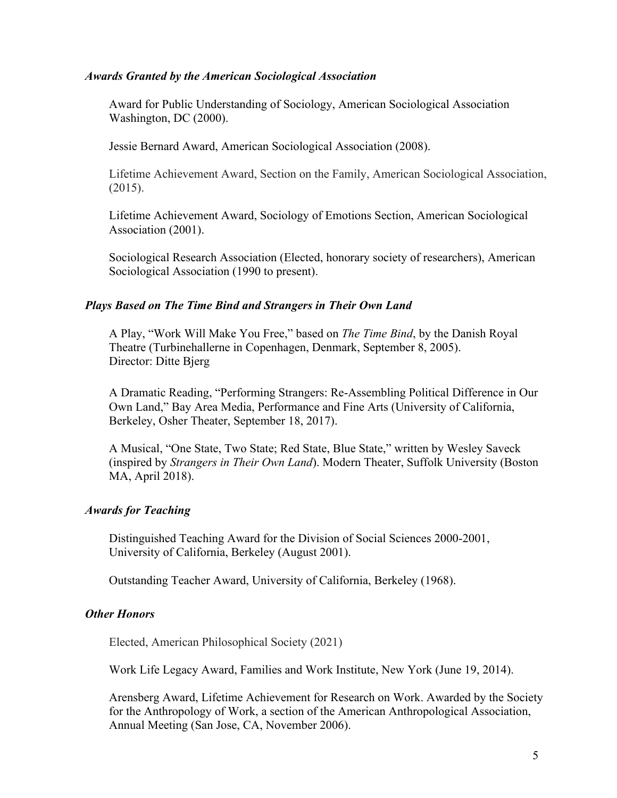#### *Awards Granted by the American Sociological Association*

Award for Public Understanding of Sociology, American Sociological Association Washington, DC (2000).

Jessie Bernard Award, American Sociological Association (2008).

Lifetime Achievement Award, Section on the Family, American Sociological Association, (2015).

Lifetime Achievement Award, Sociology of Emotions Section, American Sociological Association (2001).

Sociological Research Association (Elected, honorary society of researchers), American Sociological Association (1990 to present).

#### *Plays Based on The Time Bind and Strangers in Their Own Land*

A Play, "Work Will Make You Free," based on *The Time Bind*, by the Danish Royal Theatre (Turbinehallerne in Copenhagen, Denmark, September 8, 2005). Director: Ditte Bjerg

A Dramatic Reading, "Performing Strangers: Re-Assembling Political Difference in Our Own Land," Bay Area Media, Performance and Fine Arts (University of California, Berkeley, Osher Theater, September 18, 2017).

A Musical, "One State, Two State; Red State, Blue State," written by Wesley Saveck (inspired by *Strangers in Their Own Land*). Modern Theater, Suffolk University (Boston MA, April 2018).

#### *Awards for Teaching*

Distinguished Teaching Award for the Division of Social Sciences 2000-2001, University of California, Berkeley (August 2001).

Outstanding Teacher Award, University of California, Berkeley (1968).

### *Other Honors*

Elected, American Philosophical Society (2021)

Work Life Legacy Award, Families and Work Institute, New York (June 19, 2014).

Arensberg Award, Lifetime Achievement for Research on Work. Awarded by the Society for the Anthropology of Work, a section of the American Anthropological Association, Annual Meeting (San Jose, CA, November 2006).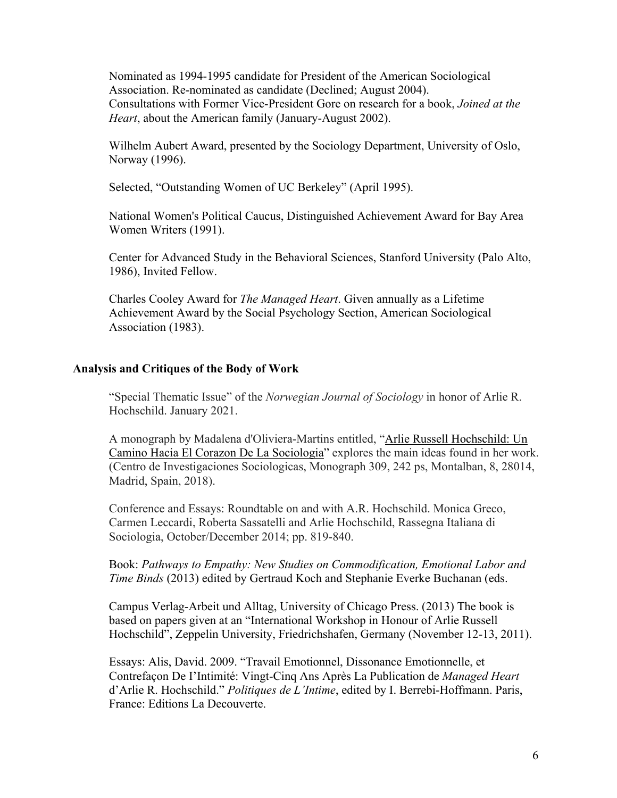Nominated as 1994-1995 candidate for President of the American Sociological Association. Re-nominated as candidate (Declined; August 2004). Consultations with Former Vice-President Gore on research for a book, *Joined at the Heart*, about the American family (January-August 2002).

Wilhelm Aubert Award, presented by the Sociology Department, University of Oslo, Norway (1996).

Selected, "Outstanding Women of UC Berkeley" (April 1995).

National Women's Political Caucus, Distinguished Achievement Award for Bay Area Women Writers (1991).

Center for Advanced Study in the Behavioral Sciences, Stanford University (Palo Alto, 1986), Invited Fellow.

Charles Cooley Award for *The Managed Heart*. Given annually as a Lifetime Achievement Award by the Social Psychology Section, American Sociological Association (1983).

### **Analysis and Critiques of the Body of Work**

"Special Thematic Issue" of the *Norwegian Journal of Sociology* in honor of Arlie R. Hochschild. January 2021.

A monograph by Madalena d'Oliviera-Martins entitled, "Arlie Russell Hochschild: Un Camino Hacia El Corazon De La Sociologia" explores the main ideas found in her work. (Centro de Investigaciones Sociologicas, Monograph 309, 242 ps, Montalban, 8, 28014, Madrid, Spain, 2018).

Conference and Essays: Roundtable on and with A.R. Hochschild. Monica Greco, Carmen Leccardi, Roberta Sassatelli and Arlie Hochschild, Rassegna Italiana di Sociologia, October/December 2014; pp. 819-840.

Book: *Pathways to Empathy: New Studies on Commodification, Emotional Labor and Time Binds* (2013) edited by Gertraud Koch and Stephanie Everke Buchanan (eds.

Campus Verlag-Arbeit und Alltag, University of Chicago Press. (2013) The book is based on papers given at an "International Workshop in Honour of Arlie Russell Hochschild", Zeppelin University, Friedrichshafen, Germany (November 12-13, 2011).

Essays: Alis, David. 2009. "Travail Emotionnel, Dissonance Emotionnelle, et Contrefaçon De I'Intimité: Vingt-Cinq Ans Après La Publication de *Managed Heart*  d'Arlie R. Hochschild." *Politiques de L'Intime*, edited by I. Berrebi-Hoffmann. Paris, France: Editions La Decouverte.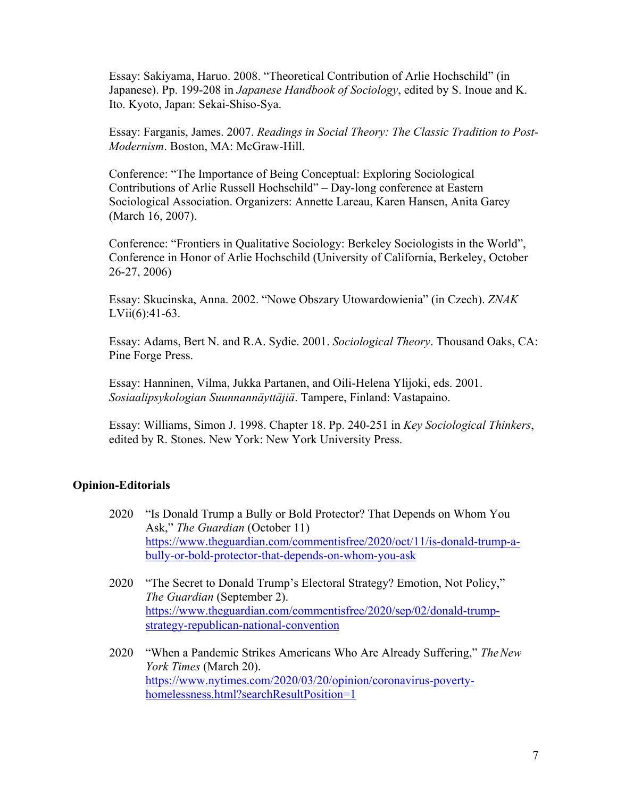Essay: Sakiyama, Haruo. 2008. "Theoretical Contribution of Arlie Hochschild" (in Japanese). Pp. 199-208 in *Japanese Handbook of Sociology*, edited by S. Inoue and K. Ito. Kyoto, Japan: Sekai-Shiso-Sya.

Essay: Farganis, James. 2007. *Readings in Social Theory: The Classic Tradition to Post-Modernism*. Boston, MA: McGraw-Hill.

Conference: "The Importance of Being Conceptual: Exploring Sociological Contributions of Arlie Russell Hochschild" – Day-long conference at Eastern Sociological Association. Organizers: Annette Lareau, Karen Hansen, Anita Garey (March 16, 2007).

Conference: "Frontiers in Qualitative Sociology: Berkeley Sociologists in the World", Conference in Honor of Arlie Hochschild (University of California, Berkeley, October 26-27, 2006)

Essay: Skucinska, Anna. 2002. "Nowe Obszary Utowardowienia" (in Czech). *ZNAK*  LVii(6):41-63.

Essay: Adams, Bert N. and R.A. Sydie. 2001. *Sociological Theory*. Thousand Oaks, CA: Pine Forge Press.

Essay: Hanninen, Vilma, Jukka Partanen, and Oili-Helena Ylijoki, eds. 2001. *Sosiaalipsykologian Suunnannäyttäjiä*. Tampere, Finland: Vastapaino.

Essay: Williams, Simon J. 1998. Chapter 18. Pp. 240-251 in *Key Sociological Thinkers*, edited by R. Stones. New York: New York University Press.

### **Opinion-Editorials**

- 2020 "Is Donald Trump a Bully or Bold Protector? That Depends on Whom You Ask," *The Guardian* (October 11) https://www.theguardian.com/commentisfree/2020/oct/11/is-donald-trump-abully-or-bold-protector-that-depends-on-whom-you-ask
- 2020 "The Secret to Donald Trump's Electoral Strategy? Emotion, Not Policy," *The Guardian* (September 2). https://www.theguardian.com/commentisfree/2020/sep/02/donald-trumpstrategy-republican-national-convention
- 2020 "When a Pandemic Strikes Americans Who Are Already Suffering," *TheNew York Times* (March 20). https://www.nytimes.com/2020/03/20/opinion/coronavirus-povertyhomelessness.html?searchResultPosition=1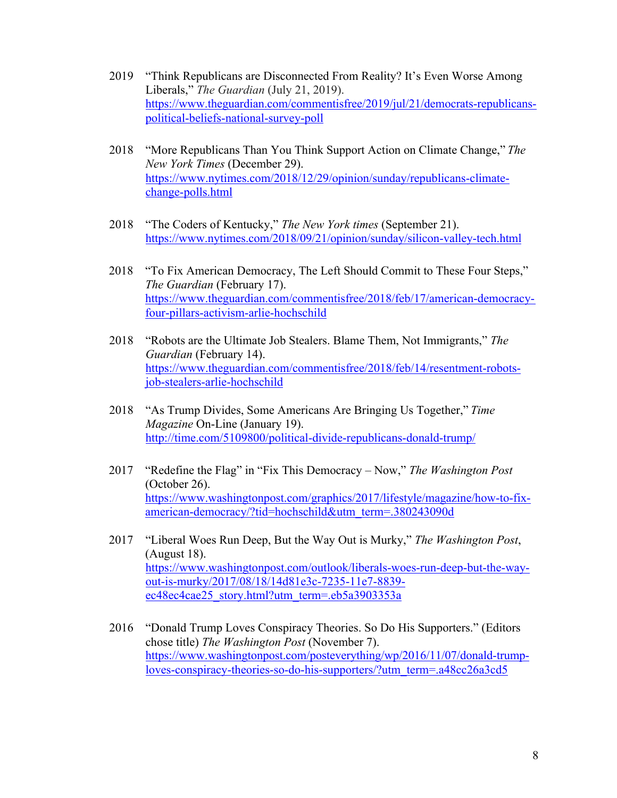- 2019 "Think Republicans are Disconnected From Reality? It's Even Worse Among Liberals," *The Guardian* (July 21, 2019). https://www.theguardian.com/commentisfree/2019/jul/21/democrats-republicanspolitical-beliefs-national-survey-poll
- 2018 "More Republicans Than You Think Support Action on Climate Change," *The New York Times* (December 29). https://www.nytimes.com/2018/12/29/opinion/sunday/republicans-climatechange-polls.html
- 2018 "The Coders of Kentucky," *The New York times* (September 21). https://www.nytimes.com/2018/09/21/opinion/sunday/silicon-valley-tech.html
- 2018 "To Fix American Democracy, The Left Should Commit to These Four Steps," *The Guardian* (February 17). https://www.theguardian.com/commentisfree/2018/feb/17/american-democracyfour-pillars-activism-arlie-hochschild
- 2018 "Robots are the Ultimate Job Stealers. Blame Them, Not Immigrants," *The Guardian* (February 14). https://www.theguardian.com/commentisfree/2018/feb/14/resentment-robotsjob-stealers-arlie-hochschild
- 2018 "As Trump Divides, Some Americans Are Bringing Us Together," *Time Magazine* On-Line (January 19). http://time.com/5109800/political-divide-republicans-donald-trump/
- 2017 "Redefine the Flag" in "Fix This Democracy Now," *The Washington Post*  (October 26). https://www.washingtonpost.com/graphics/2017/lifestyle/magazine/how-to-fixamerican-democracy/?tid=hochschild&utm\_term=.380243090d
- 2017 "Liberal Woes Run Deep, But the Way Out is Murky," *The Washington Post*, (August 18). https://www.washingtonpost.com/outlook/liberals-woes-run-deep-but-the-wayout-is-murky/2017/08/18/14d81e3c-7235-11e7-8839 ec48ec4cae25\_story.html?utm\_term=.eb5a3903353a
- 2016 "Donald Trump Loves Conspiracy Theories. So Do His Supporters." (Editors chose title) *The Washington Post* (November 7). https://www.washingtonpost.com/posteverything/wp/2016/11/07/donald-trumploves-conspiracy-theories-so-do-his-supporters/?utm\_term=.a48cc26a3cd5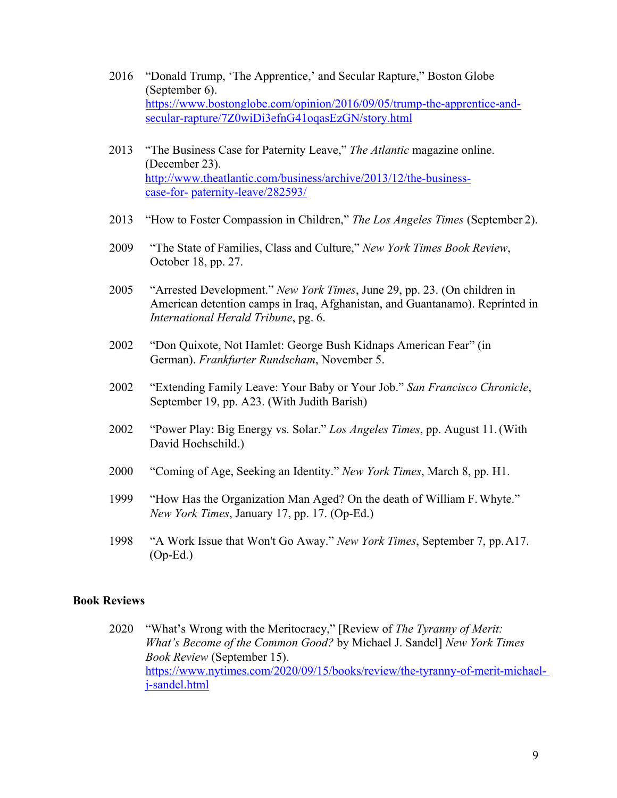- 2016 "Donald Trump, 'The Apprentice,' and Secular Rapture," Boston Globe (September 6). https://www.bostonglobe.com/opinion/2016/09/05/trump-the-apprentice-andsecular-rapture/7Z0wiDi3efnG41oqasEzGN/story.html
- 2013 "The Business Case for Paternity Leave," *The Atlantic* magazine online. (December 23). http://www.theatlantic.com/business/archive/2013/12/the-businesscase-for- paternity-leave/282593/
- 2013 "How to Foster Compassion in Children," *The Los Angeles Times* (September 2).
- 2009 "The State of Families, Class and Culture," *New York Times Book Review*, October 18, pp. 27.
- 2005 "Arrested Development." *New York Times*, June 29, pp. 23. (On children in American detention camps in Iraq, Afghanistan, and Guantanamo). Reprinted in *International Herald Tribune*, pg. 6.
- 2002 "Don Quixote, Not Hamlet: George Bush Kidnaps American Fear" (in German). *Frankfurter Rundscham*, November 5.
- 2002 "Extending Family Leave: Your Baby or Your Job." *San Francisco Chronicle*, September 19, pp. A23. (With Judith Barish)
- 2002 "Power Play: Big Energy vs. Solar." *Los Angeles Times*, pp. August 11.(With David Hochschild.)
- 2000 "Coming of Age, Seeking an Identity." *New York Times*, March 8, pp. H1.
- 1999 "How Has the Organization Man Aged? On the death of William F.Whyte." *New York Times*, January 17, pp. 17. (Op-Ed.)
- 1998 "A Work Issue that Won't Go Away." *New York Times*, September 7, pp.A17. (Op-Ed.)

### **Book Reviews**

2020 "What's Wrong with the Meritocracy," [Review of *The Tyranny of Merit: What's Become of the Common Good?* by Michael J. Sandel] *New York Times Book Review* (September 15). https://www.nytimes.com/2020/09/15/books/review/the-tyranny-of-merit-michaelj-sandel.html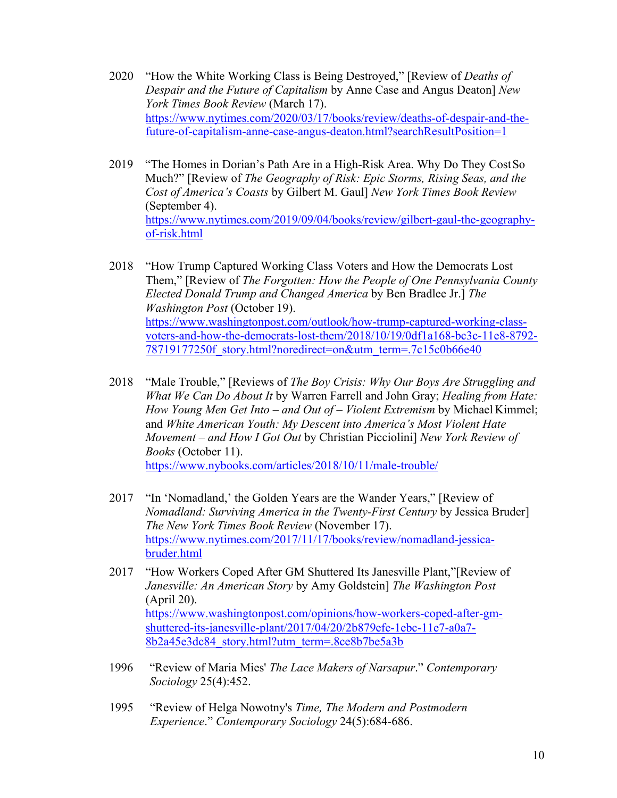- 2020 "How the White Working Class is Being Destroyed," [Review of *Deaths of Despair and the Future of Capitalism* by Anne Case and Angus Deaton] *New York Times Book Review* (March 17). https://www.nytimes.com/2020/03/17/books/review/deaths-of-despair-and-thefuture-of-capitalism-anne-case-angus-deaton.html?searchResultPosition=1
- 2019 "The Homes in Dorian's Path Are in a High-Risk Area. Why Do They CostSo Much?" [Review of *The Geography of Risk: Epic Storms, Rising Seas, and the Cost of America's Coasts* by Gilbert M. Gaul] *New York Times Book Review*  (September 4). https://www.nytimes.com/2019/09/04/books/review/gilbert-gaul-the-geographyof-risk.html
- 2018 "How Trump Captured Working Class Voters and How the Democrats Lost Them," [Review of *The Forgotten: How the People of One Pennsylvania County Elected Donald Trump and Changed America* by Ben Bradlee Jr.] *The Washington Post* (October 19). https://www.washingtonpost.com/outlook/how-trump-captured-working-classvoters-and-how-the-democrats-lost-them/2018/10/19/0df1a168-bc3c-11e8-8792- 78719177250f story.html?noredirect=on&utm\_term=.7c15c0b66e40
- 2018 "Male Trouble," [Reviews of *The Boy Crisis: Why Our Boys Are Struggling and What We Can Do About It* by Warren Farrell and John Gray; *Healing from Hate: How Young Men Get Into – and Out of – Violent Extremism* by Michael Kimmel; and *White American Youth: My Descent into America's Most Violent Hate Movement – and How I Got Out* by Christian Picciolini] *New York Review of Books* (October 11). https://www.nybooks.com/articles/2018/10/11/male-trouble/
- 2017 "In 'Nomadland,' the Golden Years are the Wander Years," [Review of *Nomadland: Surviving America in the Twenty-First Century* by Jessica Bruder] *The New York Times Book Review* (November 17). https://www.nytimes.com/2017/11/17/books/review/nomadland-jessicabruder.html
- 2017 "How Workers Coped After GM Shuttered Its Janesville Plant,"[Review of *Janesville: An American Story* by Amy Goldstein] *The Washington Post* (April 20). https://www.washingtonpost.com/opinions/how-workers-coped-after-gmshuttered-its-janesville-plant/2017/04/20/2b879efe-1ebc-11e7-a0a7- 8b2a45e3dc84\_story.html?utm\_term=.8ce8b7be5a3b
- 1996 "Review of Maria Mies' *The Lace Makers of Narsapur*." *Contemporary Sociology* 25(4):452.
- 1995 "Review of Helga Nowotny's *Time, The Modern and Postmodern Experience*." *Contemporary Sociology* 24(5):684-686.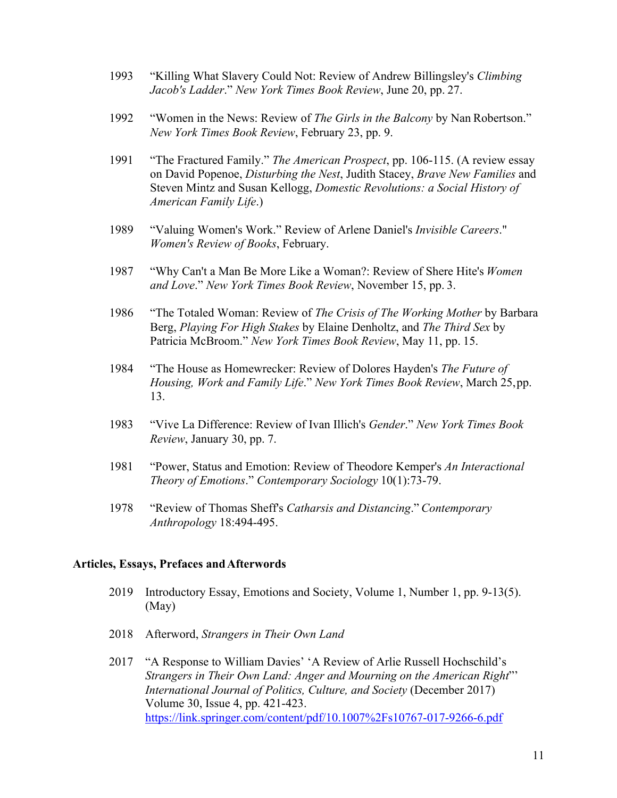- 1993 "Killing What Slavery Could Not: Review of Andrew Billingsley's *Climbing Jacob's Ladder*." *New York Times Book Review*, June 20, pp. 27.
- 1992 "Women in the News: Review of *The Girls in the Balcony* by Nan Robertson." *New York Times Book Review*, February 23, pp. 9.
- 1991 "The Fractured Family." *The American Prospect*, pp. 106-115. (A review essay on David Popenoe, *Disturbing the Nest*, Judith Stacey, *Brave New Families* and Steven Mintz and Susan Kellogg, *Domestic Revolutions: a Social History of American Family Life*.)
- 1989 "Valuing Women's Work." Review of Arlene Daniel's *Invisible Careers*." *Women's Review of Books*, February.
- 1987 "Why Can't a Man Be More Like a Woman?: Review of Shere Hite's *Women and Love*." *New York Times Book Review*, November 15, pp. 3.
- 1986 "The Totaled Woman: Review of *The Crisis of The Working Mother* by Barbara Berg, *Playing For High Stakes* by Elaine Denholtz, and *The Third Sex* by Patricia McBroom." *New York Times Book Review*, May 11, pp. 15.
- 1984 "The House as Homewrecker: Review of Dolores Hayden's *The Future of Housing, Work and Family Life*." *New York Times Book Review*, March 25,pp. 13.
- 1983 "Vive La Difference: Review of Ivan Illich's *Gender*." *New York Times Book Review*, January 30, pp. 7.
- 1981 "Power, Status and Emotion: Review of Theodore Kemper's *An Interactional Theory of Emotions*." *Contemporary Sociology* 10(1):73-79.
- 1978 "Review of Thomas Sheff's *Catharsis and Distancing*." *Contemporary Anthropology* 18:494-495.

#### **Articles, Essays, Prefaces andAfterwords**

- 2019 Introductory Essay, Emotions and Society, Volume 1, Number 1, pp. 9-13(5). (May)
- 2018 Afterword, *Strangers in Their Own Land*
- 2017 "A Response to William Davies' 'A Review of Arlie Russell Hochschild's *Strangers in Their Own Land: Anger and Mourning on the American Right*"' *International Journal of Politics, Culture, and Society* (December 2017) Volume 30, Issue 4, pp. 421-423. https://link.springer.com/content/pdf/10.1007%2Fs10767-017-9266-6.pdf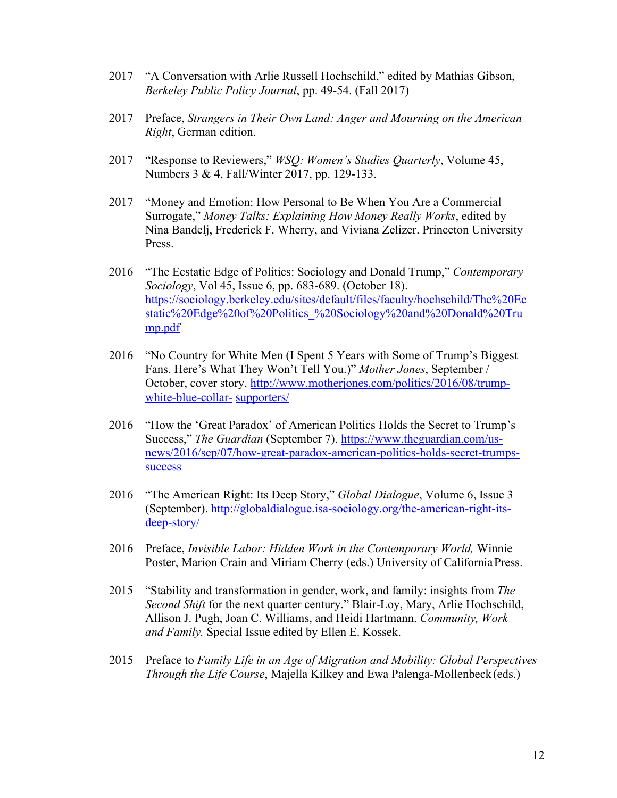- 2017 "A Conversation with Arlie Russell Hochschild," edited by Mathias Gibson, *Berkeley Public Policy Journal*, pp. 49-54. (Fall 2017)
- 2017 Preface, *Strangers in Their Own Land: Anger and Mourning on the American Right*, German edition.
- 2017 "Response to Reviewers," *WSQ: Women's Studies Quarterly*, Volume 45, Numbers 3 & 4, Fall/Winter 2017, pp. 129-133.
- 2017 "Money and Emotion: How Personal to Be When You Are a Commercial Surrogate," *Money Talks: Explaining How Money Really Works*, edited by Nina Bandelj, Frederick F. Wherry, and Viviana Zelizer. Princeton University Press.
- 2016 "The Ecstatic Edge of Politics: Sociology and Donald Trump," *Contemporary Sociology*, Vol 45, Issue 6, pp. 683-689. (October 18). https://sociology.berkeley.edu/sites/default/files/faculty/hochschild/The%20Ec static%20Edge%20of%20Politics\_%20Sociology%20and%20Donald%20Tru mp.pdf
- 2016 "No Country for White Men (I Spent 5 Years with Some of Trump's Biggest Fans. Here's What They Won't Tell You.)" *Mother Jones*, September / October, cover story. http://www.motherjones.com/politics/2016/08/trumpwhite-blue-collar- supporters/
- 2016 "How the 'Great Paradox' of American Politics Holds the Secret to Trump's Success," *The Guardian* (September 7). https://www.theguardian.com/usnews/2016/sep/07/how-great-paradox-american-politics-holds-secret-trumpssuccess
- 2016 "The American Right: Its Deep Story," *Global Dialogue*, Volume 6, Issue 3 (September). http://globaldialogue.isa-sociology.org/the-american-right-itsdeep-story/
- 2016 Preface, *Invisible Labor: Hidden Work in the Contemporary World,* Winnie Poster, Marion Crain and Miriam Cherry (eds.) University of California Press.
- 2015 "Stability and transformation in gender, work, and family: insights from *The Second Shift* for the next quarter century." Blair-Loy, Mary, Arlie Hochschild, Allison J. Pugh, Joan C. Williams, and Heidi Hartmann. *Community, Work and Family.* Special Issue edited by Ellen E. Kossek.
- 2015 Preface to *Family Life in an Age of Migration and Mobility: Global Perspectives Through the Life Course*, Majella Kilkey and Ewa Palenga-Mollenbeck(eds.)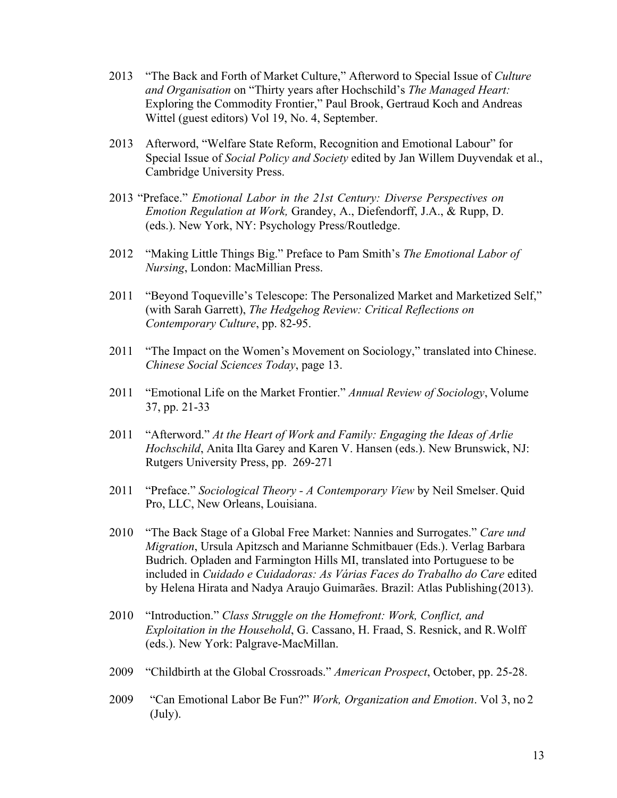- 2013 "The Back and Forth of Market Culture," Afterword to Special Issue of *Culture and Organisation* on "Thirty years after Hochschild's *The Managed Heart:*  Exploring the Commodity Frontier," Paul Brook, Gertraud Koch and Andreas Wittel (guest editors) Vol 19, No. 4, September.
- 2013 Afterword, "Welfare State Reform, Recognition and Emotional Labour" for Special Issue of *Social Policy and Society* edited by Jan Willem Duyvendak et al., Cambridge University Press.
- 2013 "Preface." *Emotional Labor in the 21st Century: Diverse Perspectives on Emotion Regulation at Work,* Grandey, A., Diefendorff, J.A., & Rupp, D. (eds.). New York, NY: Psychology Press/Routledge.
- 2012 "Making Little Things Big." Preface to Pam Smith's *The Emotional Labor of Nursing*, London: MacMillian Press.
- 2011 "Beyond Toqueville's Telescope: The Personalized Market and Marketized Self," (with Sarah Garrett), *The Hedgehog Review: Critical Reflections on Contemporary Culture*, pp. 82-95.
- 2011 "The Impact on the Women's Movement on Sociology," translated into Chinese. *Chinese Social Sciences Today*, page 13.
- 2011 "Emotional Life on the Market Frontier." *Annual Review of Sociology*, Volume 37, pp. 21-33
- 2011 "Afterword." *At the Heart of Work and Family: Engaging the Ideas of Arlie Hochschild*, Anita Ilta Garey and Karen V. Hansen (eds.). New Brunswick, NJ: Rutgers University Press, pp. 269-271
- 2011 "Preface." *Sociological Theory - A Contemporary View* by Neil Smelser. Quid Pro, LLC, New Orleans, Louisiana.
- 2010 "The Back Stage of a Global Free Market: Nannies and Surrogates." *Care und Migration*, Ursula Apitzsch and Marianne Schmitbauer (Eds.). Verlag Barbara Budrich. Opladen and Farmington Hills MI, translated into Portuguese to be included in *Cuidado e Cuidadoras: As Várias Faces do Trabalho do Care* edited by Helena Hirata and Nadya Araujo Guimarães. Brazil: Atlas Publishing(2013).
- 2010 "Introduction." *Class Struggle on the Homefront: Work, Conflict, and Exploitation in the Household*, G. Cassano, H. Fraad, S. Resnick, and R.Wolff (eds.). New York: Palgrave-MacMillan.
- 2009 "Childbirth at the Global Crossroads." *American Prospect*, October, pp. 25-28.
- 2009 "Can Emotional Labor Be Fun?" *Work, Organization and Emotion*. Vol 3, no 2 (July).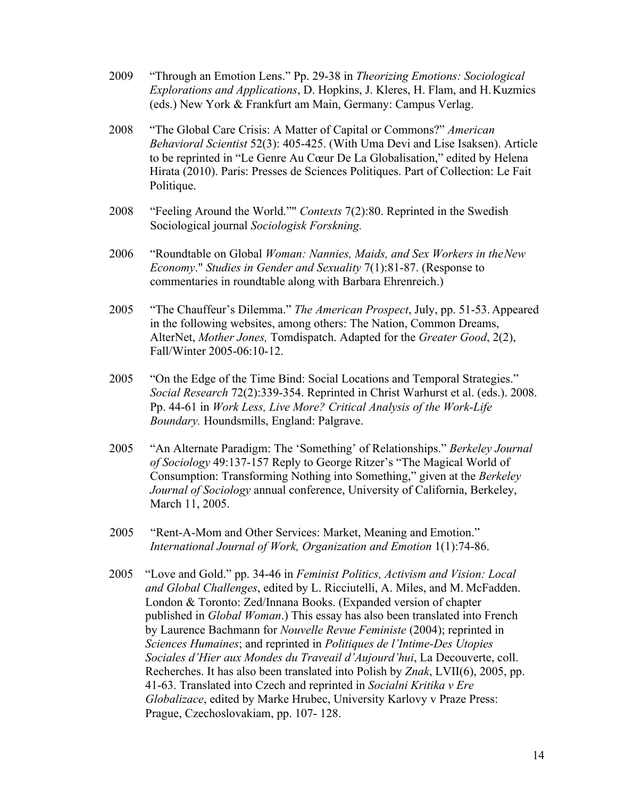- 2009 "Through an Emotion Lens." Pp. 29-38 in *Theorizing Emotions: Sociological Explorations and Applications*, D. Hopkins, J. Kleres, H. Flam, and H.Kuzmics (eds.) New York & Frankfurt am Main, Germany: Campus Verlag.
- 2008 "The Global Care Crisis: A Matter of Capital or Commons?" *American Behavioral Scientist* 52(3): 405-425. (With Uma Devi and Lise Isaksen). Article to be reprinted in "Le Genre Au Cœur De La Globalisation," edited by Helena Hirata (2010). Paris: Presses de Sciences Politiques. Part of Collection: Le Fait Politique.
- 2008 "Feeling Around the World."" *Contexts* 7(2):80. Reprinted in the Swedish Sociological journal *Sociologisk Forskning.*
- 2006 "Roundtable on Global *Woman: Nannies, Maids, and Sex Workers in theNew Economy*." *Studies in Gender and Sexuality* 7(1):81-87. (Response to commentaries in roundtable along with Barbara Ehrenreich.)
- 2005 "The Chauffeur's Dilemma." *The American Prospect*, July, pp. 51-53. Appeared in the following websites, among others: The Nation, Common Dreams, AlterNet, *Mother Jones,* Tomdispatch. Adapted for the *Greater Good*, 2(2), Fall/Winter 2005-06:10-12.
- 2005 "On the Edge of the Time Bind: Social Locations and Temporal Strategies." *Social Research* 72(2):339-354. Reprinted in Christ Warhurst et al. (eds.). 2008. Pp. 44-61 in *Work Less, Live More? Critical Analysis of the Work-Life Boundary.* Houndsmills, England: Palgrave.
- 2005 "An Alternate Paradigm: The 'Something' of Relationships." *Berkeley Journal of Sociology* 49:137-157 Reply to George Ritzer's "The Magical World of Consumption: Transforming Nothing into Something," given at the *Berkeley Journal of Sociology* annual conference, University of California, Berkeley, March 11, 2005.
- 2005 "Rent-A-Mom and Other Services: Market, Meaning and Emotion." *International Journal of Work, Organization and Emotion* 1(1):74-86.
- 2005 "Love and Gold." pp. 34-46 in *Feminist Politics, Activism and Vision: Local and Global Challenges*, edited by L. Ricciutelli, A. Miles, and M. McFadden. London & Toronto: Zed/Innana Books. (Expanded version of chapter published in *Global Woman*.) This essay has also been translated into French by Laurence Bachmann for *Nouvelle Revue Feministe* (2004); reprinted in *Sciences Humaines*; and reprinted in *Politiques de l'Intime-Des Utopies Sociales d'Hier aux Mondes du Traveail d'Aujourd'hui*, La Decouverte, coll. Recherches. It has also been translated into Polish by *Znak*, LVII(6), 2005, pp. 41-63. Translated into Czech and reprinted in *Socialni Kritika v Ere Globalizace*, edited by Marke Hrubec, University Karlovy v Praze Press: Prague, Czechoslovakiam, pp. 107- 128.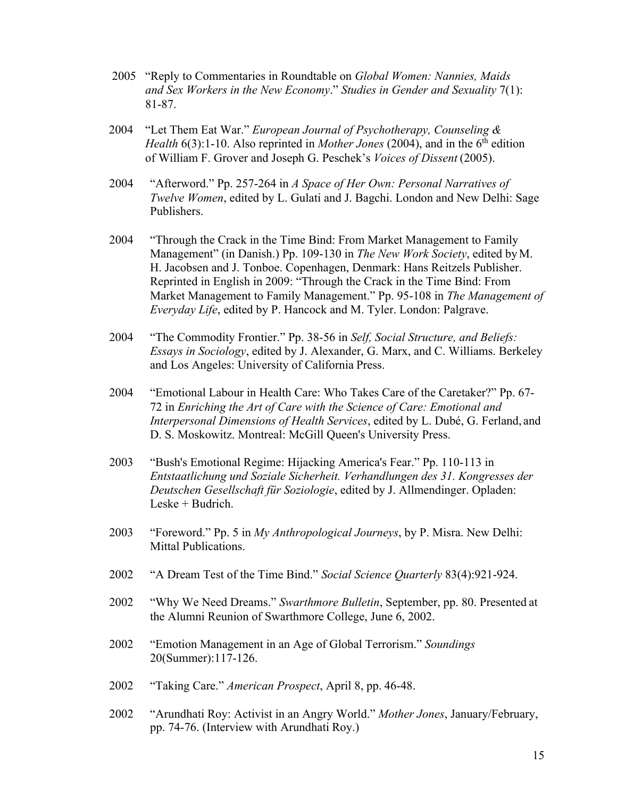- 2005 "Reply to Commentaries in Roundtable on *Global Women: Nannies, Maids and Sex Workers in the New Economy*." *Studies in Gender and Sexuality* 7(1): 81-87.
- 2004 "Let Them Eat War." *European Journal of Psychotherapy, Counseling & Health* 6(3):1-10. Also reprinted in *Mother Jones* (2004), and in the 6<sup>th</sup> edition of William F. Grover and Joseph G. Peschek's *Voices of Dissent* (2005).
- 2004 "Afterword." Pp. 257-264 in *A Space of Her Own: Personal Narratives of Twelve Women*, edited by L. Gulati and J. Bagchi. London and New Delhi: Sage Publishers.
- 2004 "Through the Crack in the Time Bind: From Market Management to Family Management" (in Danish.) Pp. 109-130 in *The New Work Society*, edited byM. H. Jacobsen and J. Tonboe. Copenhagen, Denmark: Hans Reitzels Publisher. Reprinted in English in 2009: "Through the Crack in the Time Bind: From Market Management to Family Management." Pp. 95-108 in *The Management of Everyday Life*, edited by P. Hancock and M. Tyler. London: Palgrave.
- 2004 "The Commodity Frontier." Pp. 38-56 in *Self, Social Structure, and Beliefs: Essays in Sociology*, edited by J. Alexander, G. Marx, and C. Williams. Berkeley and Los Angeles: University of California Press.
- 2004 "Emotional Labour in Health Care: Who Takes Care of the Caretaker?" Pp. 67- 72 in *Enriching the Art of Care with the Science of Care: Emotional and Interpersonal Dimensions of Health Services*, edited by L. Dubé, G. Ferland, and D. S. Moskowitz. Montreal: McGill Queen's University Press.
- 2003 "Bush's Emotional Regime: Hijacking America's Fear." Pp. 110-113 in *Entstaatlichung und Soziale Sicherheit. Verhandlungen des 31. Kongresses der Deutschen Gesellschaft für Soziologie*, edited by J. Allmendinger. Opladen: Leske + Budrich.
- 2003 "Foreword." Pp. 5 in *My Anthropological Journeys*, by P. Misra. New Delhi: Mittal Publications.
- 2002 "A Dream Test of the Time Bind." *Social Science Quarterly* 83(4):921-924.
- 2002 "Why We Need Dreams." *Swarthmore Bulletin*, September, pp. 80. Presented at the Alumni Reunion of Swarthmore College, June 6, 2002.
- 2002 "Emotion Management in an Age of Global Terrorism." *Soundings* 20(Summer):117-126.
- 2002 "Taking Care." *American Prospect*, April 8, pp. 46-48.
- 2002 "Arundhati Roy: Activist in an Angry World." *Mother Jones*, January/February, pp. 74-76. (Interview with Arundhati Roy.)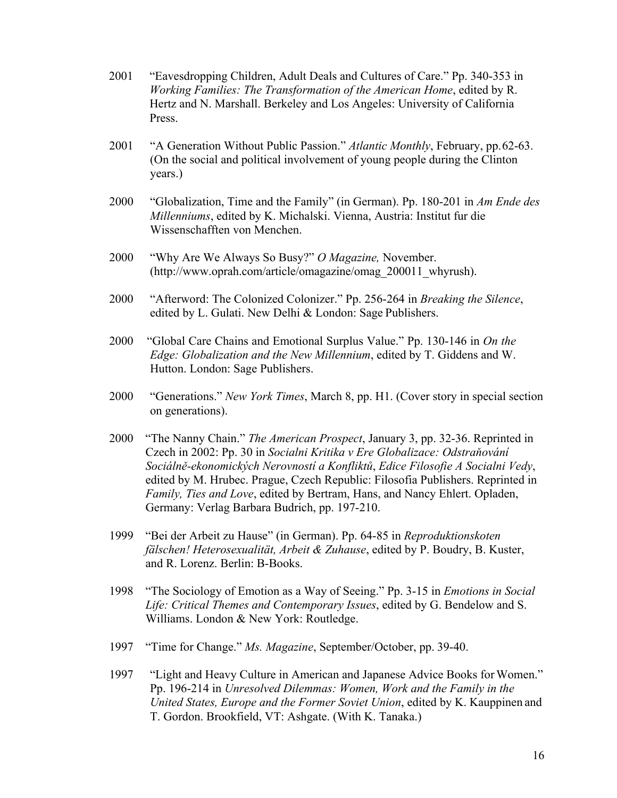- 2001 "Eavesdropping Children, Adult Deals and Cultures of Care." Pp. 340-353 in *Working Families: The Transformation of the American Home*, edited by R. Hertz and N. Marshall. Berkeley and Los Angeles: University of California Press.
- 2001 "A Generation Without Public Passion." *Atlantic Monthly*, February, pp.62-63. (On the social and political involvement of young people during the Clinton years.)
- 2000 "Globalization, Time and the Family" (in German). Pp. 180-201 in *Am Ende des Millenniums*, edited by K. Michalski. Vienna, Austria: Institut fur die Wissenschafften von Menchen.
- 2000 "Why Are We Always So Busy?" *O Magazine,* November. (http://www.oprah.com/article/omagazine/omag\_200011\_whyrush).
- 2000 "Afterword: The Colonized Colonizer." Pp. 256-264 in *Breaking the Silence*, edited by L. Gulati. New Delhi & London: Sage Publishers.
- 2000 "Global Care Chains and Emotional Surplus Value." Pp. 130-146 in *On the Edge: Globalization and the New Millennium*, edited by T. Giddens and W. Hutton. London: Sage Publishers.
- 2000 "Generations." *New York Times*, March 8, pp. H1. (Cover story in special section on generations).
- 2000 "The Nanny Chain." *The American Prospect*, January 3, pp. 32-36. Reprinted in Czech in 2002: Pp. 30 in *Socialni Kritika v Ere Globalizace: Odstraňování Sociálně-ekonomických Nerovností a Konfliktů*, *Edice Filosofie A Socialni Vedy*, edited by M. Hrubec. Prague, Czech Republic: Filosofia Publishers. Reprinted in *Family, Ties and Love*, edited by Bertram, Hans, and Nancy Ehlert. Opladen, Germany: Verlag Barbara Budrich, pp. 197-210.
- 1999 "Bei der Arbeit zu Hause" (in German). Pp. 64-85 in *Reproduktionskoten fälschen! Heterosexualität, Arbeit & Zuhause*, edited by P. Boudry, B. Kuster, and R. Lorenz. Berlin: B-Books.
- 1998 "The Sociology of Emotion as a Way of Seeing." Pp. 3-15 in *Emotions in Social Life: Critical Themes and Contemporary Issues*, edited by G. Bendelow and S. Williams. London & New York: Routledge.
- 1997 "Time for Change." *Ms. Magazine*, September/October, pp. 39-40.
- 1997 "Light and Heavy Culture in American and Japanese Advice Books forWomen." Pp. 196-214 in *Unresolved Dilemmas: Women, Work and the Family in the United States, Europe and the Former Soviet Union*, edited by K. Kauppinen and T. Gordon. Brookfield, VT: Ashgate. (With K. Tanaka.)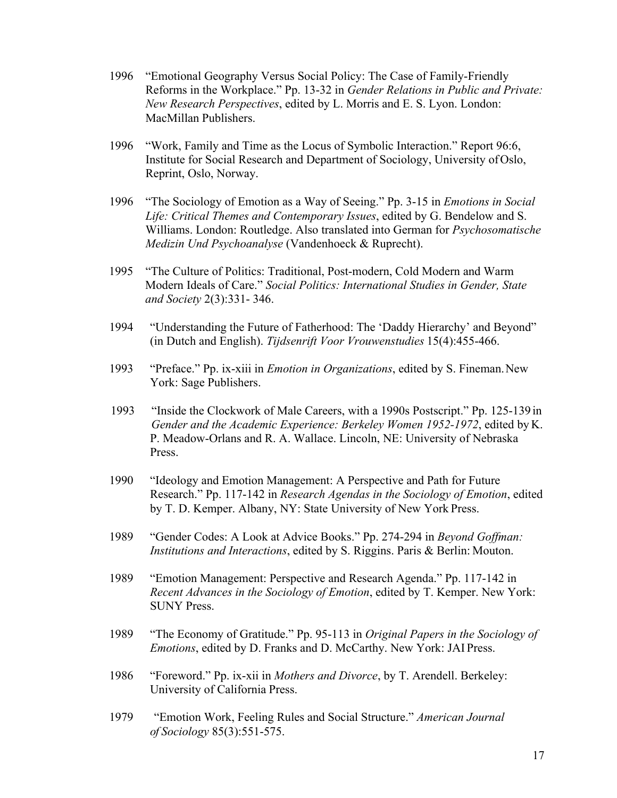- 1996 "Emotional Geography Versus Social Policy: The Case of Family-Friendly Reforms in the Workplace." Pp. 13-32 in *Gender Relations in Public and Private: New Research Perspectives*, edited by L. Morris and E. S. Lyon. London: MacMillan Publishers.
- 1996 "Work, Family and Time as the Locus of Symbolic Interaction." Report 96:6, Institute for Social Research and Department of Sociology, University ofOslo, Reprint, Oslo, Norway.
- 1996 "The Sociology of Emotion as a Way of Seeing." Pp. 3-15 in *Emotions in Social Life: Critical Themes and Contemporary Issues*, edited by G. Bendelow and S. Williams. London: Routledge. Also translated into German for *Psychosomatische Medizin Und Psychoanalyse* (Vandenhoeck & Ruprecht).
- 1995 "The Culture of Politics: Traditional, Post-modern, Cold Modern and Warm Modern Ideals of Care." *Social Politics: International Studies in Gender, State and Society* 2(3):331- 346.
- 1994 "Understanding the Future of Fatherhood: The 'Daddy Hierarchy' and Beyond" (in Dutch and English). *Tijdsenrift Voor Vrouwenstudies* 15(4):455-466.
- 1993 "Preface." Pp. ix-xiii in *Emotion in Organizations*, edited by S. Fineman.New York: Sage Publishers.
- 1993 "Inside the Clockwork of Male Careers, with a 1990s Postscript." Pp. 125-139 in *Gender and the Academic Experience: Berkeley Women 1952-1972*, edited by K. P. Meadow-Orlans and R. A. Wallace. Lincoln, NE: University of Nebraska Press.
- 1990 "Ideology and Emotion Management: A Perspective and Path for Future Research." Pp. 117-142 in *Research Agendas in the Sociology of Emotion*, edited by T. D. Kemper. Albany, NY: State University of New York Press.
- 1989 "Gender Codes: A Look at Advice Books." Pp. 274-294 in *Beyond Goffman: Institutions and Interactions*, edited by S. Riggins. Paris & Berlin: Mouton.
- 1989 "Emotion Management: Perspective and Research Agenda." Pp. 117-142 in *Recent Advances in the Sociology of Emotion*, edited by T. Kemper. New York: SUNY Press.
- 1989 "The Economy of Gratitude." Pp. 95-113 in *Original Papers in the Sociology of Emotions*, edited by D. Franks and D. McCarthy. New York: JAI Press.
- 1986 "Foreword." Pp. ix-xii in *Mothers and Divorce*, by T. Arendell. Berkeley: University of California Press.
- 1979 "Emotion Work, Feeling Rules and Social Structure." *American Journal of Sociology* 85(3):551-575.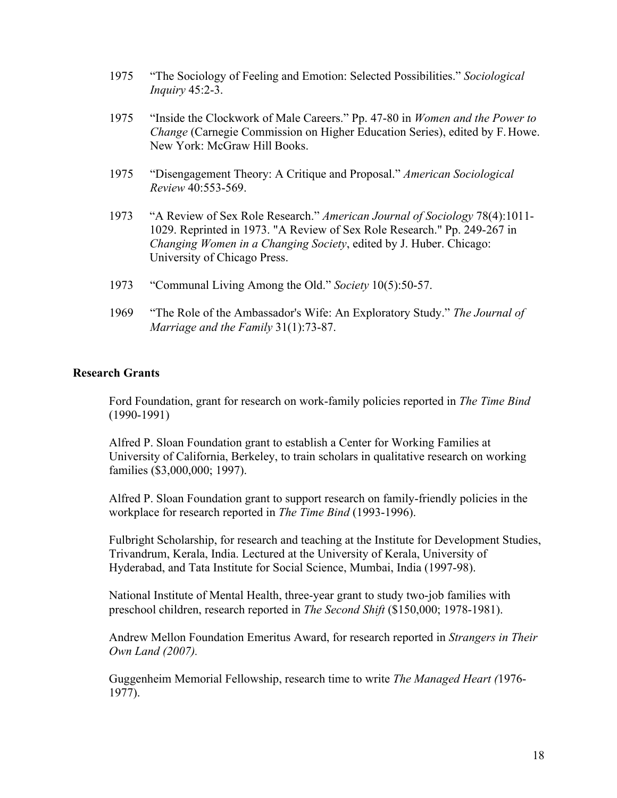- 1975 "The Sociology of Feeling and Emotion: Selected Possibilities." *Sociological Inquiry* 45:2-3.
- 1975 "Inside the Clockwork of Male Careers." Pp. 47-80 in *Women and the Power to Change* (Carnegie Commission on Higher Education Series), edited by F.Howe. New York: McGraw Hill Books.
- 1975 "Disengagement Theory: A Critique and Proposal." *American Sociological Review* 40:553-569.
- 1973 "A Review of Sex Role Research." *American Journal of Sociology* 78(4):1011- 1029. Reprinted in 1973. "A Review of Sex Role Research." Pp. 249-267 in *Changing Women in a Changing Society*, edited by J. Huber. Chicago: University of Chicago Press.
- 1973 "Communal Living Among the Old." *Society* 10(5):50-57.
- 1969 "The Role of the Ambassador's Wife: An Exploratory Study." *The Journal of Marriage and the Family* 31(1):73-87.

#### **Research Grants**

Ford Foundation, grant for research on work-family policies reported in *The Time Bind* (1990-1991)

Alfred P. Sloan Foundation grant to establish a Center for Working Families at University of California, Berkeley, to train scholars in qualitative research on working families (\$3,000,000; 1997).

Alfred P. Sloan Foundation grant to support research on family-friendly policies in the workplace for research reported in *The Time Bind* (1993-1996).

Fulbright Scholarship, for research and teaching at the Institute for Development Studies, Trivandrum, Kerala, India. Lectured at the University of Kerala, University of Hyderabad, and Tata Institute for Social Science, Mumbai, India (1997-98).

National Institute of Mental Health, three-year grant to study two-job families with preschool children, research reported in *The Second Shift* (\$150,000; 1978-1981).

Andrew Mellon Foundation Emeritus Award, for research reported in *Strangers in Their Own Land (2007).*

Guggenheim Memorial Fellowship, research time to write *The Managed Heart (*1976- 1977).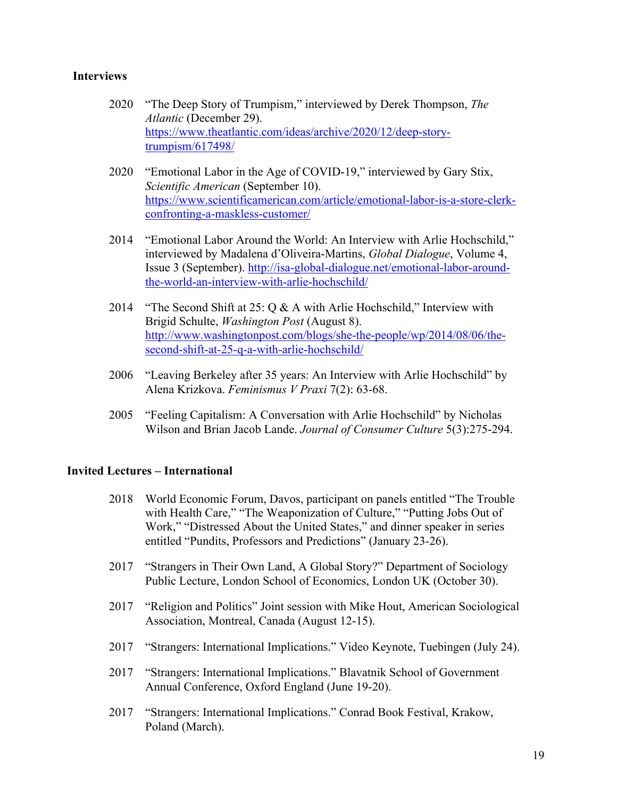## **Interviews**

- 2020 "The Deep Story of Trumpism," interviewed by Derek Thompson, *The Atlantic* (December 29). https://www.theatlantic.com/ideas/archive/2020/12/deep-storytrumpism/617498/
- 2020 "Emotional Labor in the Age of COVID-19," interviewed by Gary Stix, *Scientific American* (September 10). https://www.scientificamerican.com/article/emotional-labor-is-a-store-clerkconfronting-a-maskless-customer/
- 2014 "Emotional Labor Around the World: An Interview with Arlie Hochschild," interviewed by Madalena d'Oliveira-Martins, *Global Dialogue*, Volume 4, Issue 3 (September). http://isa-global-dialogue.net/emotional-labor-aroundthe-world-an-interview-with-arlie-hochschild/
- 2014 "The Second Shift at 25:  $Q & A$  with Arlie Hochschild," Interview with Brigid Schulte, *Washington Post* (August 8). http://www.washingtonpost.com/blogs/she-the-people/wp/2014/08/06/thesecond-shift-at-25-q-a-with-arlie-hochschild/
- 2006 "Leaving Berkeley after 35 years: An Interview with Arlie Hochschild" by Alena Krizkova. *Feminismus V Praxi* 7(2): 63-68.
- 2005 "Feeling Capitalism: A Conversation with Arlie Hochschild" by Nicholas Wilson and Brian Jacob Lande. *Journal of Consumer Culture* 5(3):275-294.

### **Invited Lectures – International**

- 2018 World Economic Forum, Davos, participant on panels entitled "The Trouble with Health Care," "The Weaponization of Culture," "Putting Jobs Out of Work," "Distressed About the United States," and dinner speaker in series entitled "Pundits, Professors and Predictions" (January 23-26).
- 2017 "Strangers in Their Own Land, A Global Story?" Department of Sociology Public Lecture, London School of Economics, London UK (October 30).
- 2017 "Religion and Politics" Joint session with Mike Hout, American Sociological Association, Montreal, Canada (August 12-15).
- 2017 "Strangers: International Implications." Video Keynote, Tuebingen (July 24).
- 2017 "Strangers: International Implications." Blavatnik School of Government Annual Conference, Oxford England (June 19-20).
- 2017 "Strangers: International Implications." Conrad Book Festival, Krakow, Poland (March).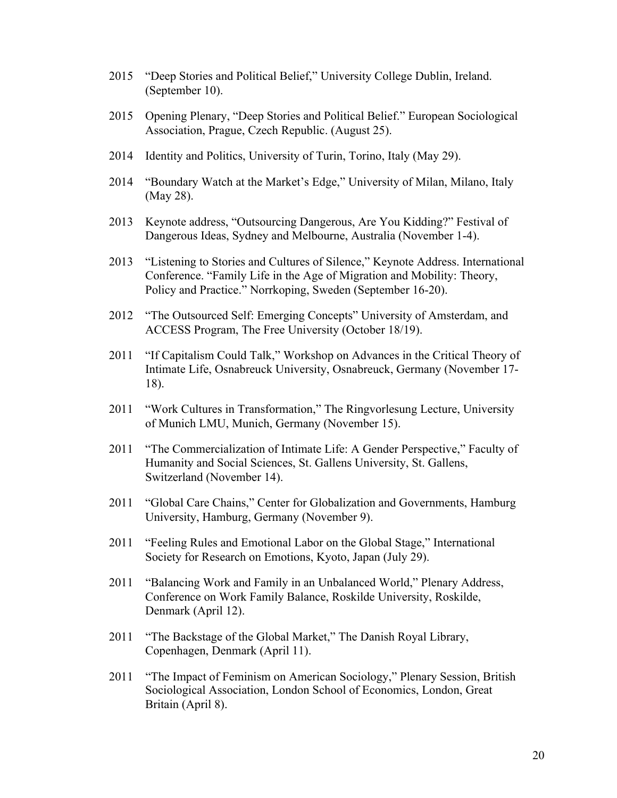- 2015 "Deep Stories and Political Belief," University College Dublin, Ireland. (September 10).
- 2015 Opening Plenary, "Deep Stories and Political Belief." European Sociological Association, Prague, Czech Republic. (August 25).
- 2014 Identity and Politics, University of Turin, Torino, Italy (May 29).
- 2014 "Boundary Watch at the Market's Edge," University of Milan, Milano, Italy (May 28).
- 2013 Keynote address, "Outsourcing Dangerous, Are You Kidding?" Festival of Dangerous Ideas, Sydney and Melbourne, Australia (November 1-4).
- 2013 "Listening to Stories and Cultures of Silence," Keynote Address. International Conference. "Family Life in the Age of Migration and Mobility: Theory, Policy and Practice." Norrkoping, Sweden (September 16-20).
- 2012 "The Outsourced Self: Emerging Concepts" University of Amsterdam, and ACCESS Program, The Free University (October 18/19).
- 2011 "If Capitalism Could Talk," Workshop on Advances in the Critical Theory of Intimate Life, Osnabreuck University, Osnabreuck, Germany (November 17- 18).
- 2011 "Work Cultures in Transformation," The Ringvorlesung Lecture, University of Munich LMU, Munich, Germany (November 15).
- 2011 "The Commercialization of Intimate Life: A Gender Perspective," Faculty of Humanity and Social Sciences, St. Gallens University, St. Gallens, Switzerland (November 14).
- 2011 "Global Care Chains," Center for Globalization and Governments, Hamburg University, Hamburg, Germany (November 9).
- 2011 "Feeling Rules and Emotional Labor on the Global Stage," International Society for Research on Emotions, Kyoto, Japan (July 29).
- 2011 "Balancing Work and Family in an Unbalanced World," Plenary Address, Conference on Work Family Balance, Roskilde University, Roskilde, Denmark (April 12).
- 2011 "The Backstage of the Global Market," The Danish Royal Library, Copenhagen, Denmark (April 11).
- 2011 "The Impact of Feminism on American Sociology," Plenary Session, British Sociological Association, London School of Economics, London, Great Britain (April 8).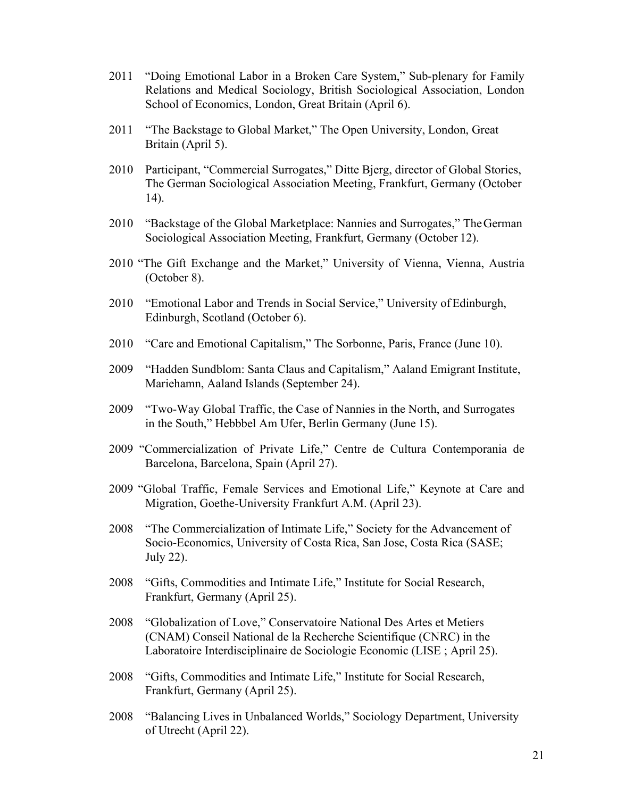- 2011 "Doing Emotional Labor in a Broken Care System," Sub-plenary for Family Relations and Medical Sociology, British Sociological Association, London School of Economics, London, Great Britain (April 6).
- 2011 "The Backstage to Global Market," The Open University, London, Great Britain (April 5).
- 2010 Participant, "Commercial Surrogates," Ditte Bjerg, director of Global Stories, The German Sociological Association Meeting, Frankfurt, Germany (October 14).
- 2010 "Backstage of the Global Marketplace: Nannies and Surrogates," TheGerman Sociological Association Meeting, Frankfurt, Germany (October 12).
- 2010 "The Gift Exchange and the Market," University of Vienna, Vienna, Austria (October 8).
- 2010 "Emotional Labor and Trends in Social Service," University ofEdinburgh, Edinburgh, Scotland (October 6).
- 2010 "Care and Emotional Capitalism," The Sorbonne, Paris, France (June 10).
- 2009 "Hadden Sundblom: Santa Claus and Capitalism," Aaland Emigrant Institute, Mariehamn, Aaland Islands (September 24).
- 2009 "Two-Way Global Traffic, the Case of Nannies in the North, and Surrogates in the South," Hebbbel Am Ufer, Berlin Germany (June 15).
- 2009 "Commercialization of Private Life," Centre de Cultura Contemporania de Barcelona, Barcelona, Spain (April 27).
- 2009 "Global Traffic, Female Services and Emotional Life," Keynote at Care and Migration, Goethe-University Frankfurt A.M. (April 23).
- 2008 "The Commercialization of Intimate Life," Society for the Advancement of Socio-Economics, University of Costa Rica, San Jose, Costa Rica (SASE; July 22).
- 2008 "Gifts, Commodities and Intimate Life," Institute for Social Research, Frankfurt, Germany (April 25).
- 2008 "Globalization of Love," Conservatoire National Des Artes et Metiers (CNAM) Conseil National de la Recherche Scientifique (CNRC) in the Laboratoire Interdisciplinaire de Sociologie Economic (LISE ; April 25).
- 2008 "Gifts, Commodities and Intimate Life," Institute for Social Research, Frankfurt, Germany (April 25).
- 2008 "Balancing Lives in Unbalanced Worlds," Sociology Department, University of Utrecht (April 22).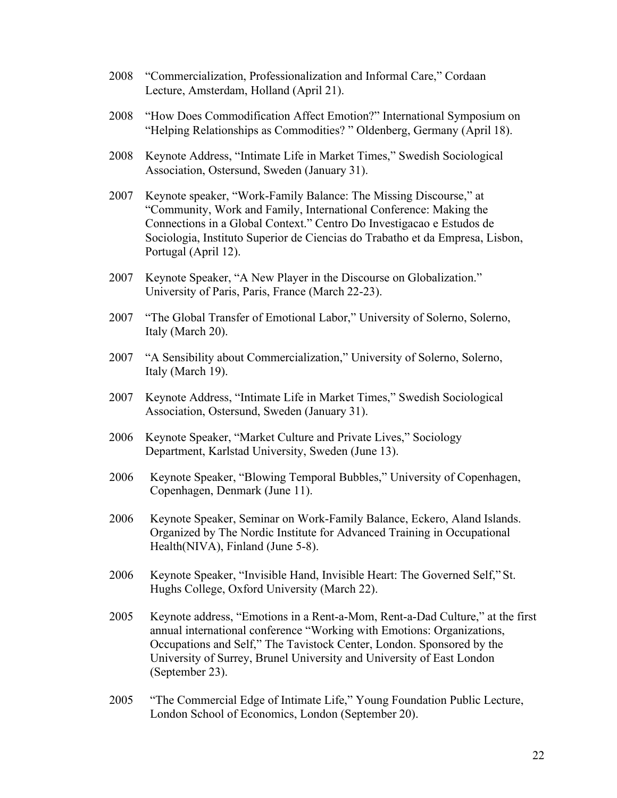- 2008 "Commercialization, Professionalization and Informal Care," Cordaan Lecture, Amsterdam, Holland (April 21).
- 2008 "How Does Commodification Affect Emotion?" International Symposium on "Helping Relationships as Commodities? " Oldenberg, Germany (April 18).
- 2008 Keynote Address, "Intimate Life in Market Times," Swedish Sociological Association, Ostersund, Sweden (January 31).
- 2007 Keynote speaker, "Work-Family Balance: The Missing Discourse," at "Community, Work and Family, International Conference: Making the Connections in a Global Context." Centro Do Investigacao e Estudos de Sociologia, Instituto Superior de Ciencias do Trabatho et da Empresa, Lisbon, Portugal (April 12).
- 2007 Keynote Speaker, "A New Player in the Discourse on Globalization." University of Paris, Paris, France (March 22-23).
- 2007 "The Global Transfer of Emotional Labor," University of Solerno, Solerno, Italy (March 20).
- 2007 "A Sensibility about Commercialization," University of Solerno, Solerno, Italy (March 19).
- 2007 Keynote Address, "Intimate Life in Market Times," Swedish Sociological Association, Ostersund, Sweden (January 31).
- 2006 Keynote Speaker, "Market Culture and Private Lives," Sociology Department, Karlstad University, Sweden (June 13).
- 2006 Keynote Speaker, "Blowing Temporal Bubbles," University of Copenhagen, Copenhagen, Denmark (June 11).
- 2006 Keynote Speaker, Seminar on Work-Family Balance, Eckero, Aland Islands. Organized by The Nordic Institute for Advanced Training in Occupational Health(NIVA), Finland (June 5-8).
- 2006 Keynote Speaker, "Invisible Hand, Invisible Heart: The Governed Self," St. Hughs College, Oxford University (March 22).
- 2005 Keynote address, "Emotions in a Rent-a-Mom, Rent-a-Dad Culture," at the first annual international conference "Working with Emotions: Organizations, Occupations and Self," The Tavistock Center, London. Sponsored by the University of Surrey, Brunel University and University of East London (September 23).
- 2005 "The Commercial Edge of Intimate Life," Young Foundation Public Lecture, London School of Economics, London (September 20).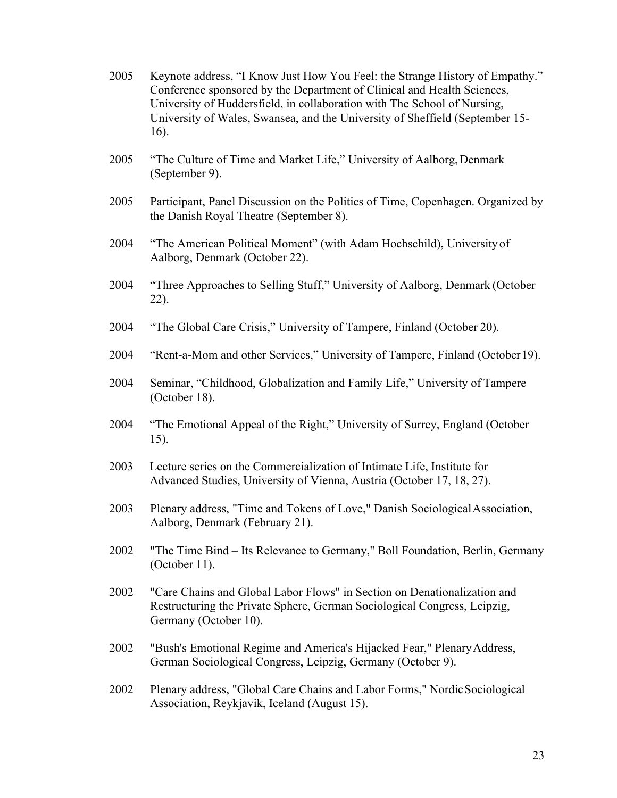| 2005 | Keynote address, "I Know Just How You Feel: the Strange History of Empathy."<br>Conference sponsored by the Department of Clinical and Health Sciences,<br>University of Huddersfield, in collaboration with The School of Nursing,<br>University of Wales, Swansea, and the University of Sheffield (September 15-<br>16). |
|------|-----------------------------------------------------------------------------------------------------------------------------------------------------------------------------------------------------------------------------------------------------------------------------------------------------------------------------|
| 2005 | "The Culture of Time and Market Life," University of Aalborg, Denmark<br>(September 9).                                                                                                                                                                                                                                     |
| 2005 | Participant, Panel Discussion on the Politics of Time, Copenhagen. Organized by<br>the Danish Royal Theatre (September 8).                                                                                                                                                                                                  |
| 2004 | "The American Political Moment" (with Adam Hochschild), University of<br>Aalborg, Denmark (October 22).                                                                                                                                                                                                                     |
| 2004 | "Three Approaches to Selling Stuff," University of Aalborg, Denmark (October<br>22).                                                                                                                                                                                                                                        |
| 2004 | "The Global Care Crisis," University of Tampere, Finland (October 20).                                                                                                                                                                                                                                                      |
| 2004 | "Rent-a-Mom and other Services," University of Tampere, Finland (October 19).                                                                                                                                                                                                                                               |
| 2004 | Seminar, "Childhood, Globalization and Family Life," University of Tampere<br>(October 18).                                                                                                                                                                                                                                 |
| 2004 | "The Emotional Appeal of the Right," University of Surrey, England (October<br>15).                                                                                                                                                                                                                                         |
| 2003 | Lecture series on the Commercialization of Intimate Life, Institute for<br>Advanced Studies, University of Vienna, Austria (October 17, 18, 27).                                                                                                                                                                            |
| 2003 | Plenary address, "Time and Tokens of Love," Danish Sociological Association,<br>Aalborg, Denmark (February 21).                                                                                                                                                                                                             |
| 2002 | "The Time Bind - Its Relevance to Germany," Boll Foundation, Berlin, Germany<br>(October 11).                                                                                                                                                                                                                               |
| 2002 | "Care Chains and Global Labor Flows" in Section on Denationalization and<br>Restructuring the Private Sphere, German Sociological Congress, Leipzig,<br>Germany (October 10).                                                                                                                                               |
| 2002 | "Bush's Emotional Regime and America's Hijacked Fear," Plenary Address,<br>German Sociological Congress, Leipzig, Germany (October 9).                                                                                                                                                                                      |
| 2002 | Plenary address, "Global Care Chains and Labor Forms," Nordic Sociological<br>Association, Reykjavik, Iceland (August 15).                                                                                                                                                                                                  |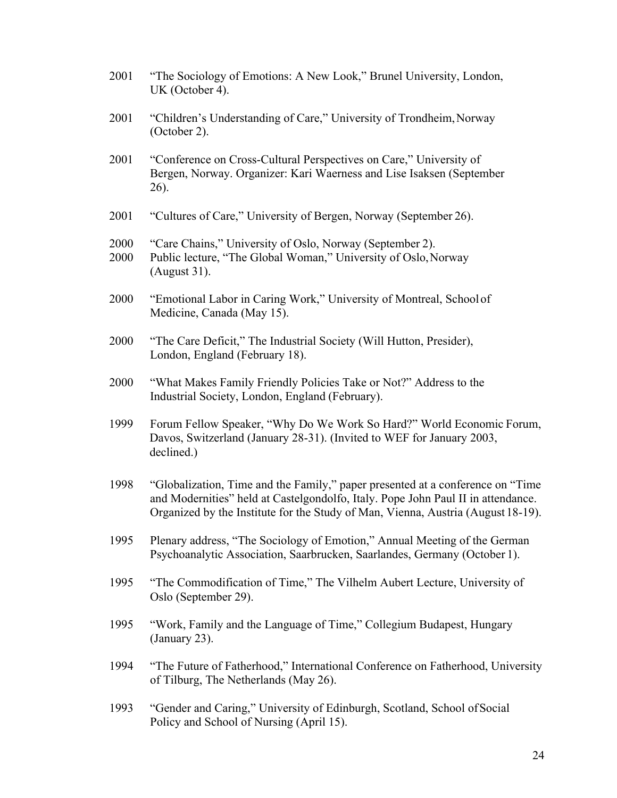- 2001 "The Sociology of Emotions: A New Look," Brunel University, London, UK (October 4).
- 2001 "Children's Understanding of Care," University of Trondheim, Norway (October 2).
- 2001 "Conference on Cross-Cultural Perspectives on Care," University of Bergen, Norway. Organizer: Kari Waerness and Lise Isaksen (September 26).
- 2001 "Cultures of Care," University of Bergen, Norway (September 26).
- 2000 "Care Chains," University of Oslo, Norway (September 2).
- 2000 Public lecture, "The Global Woman," University of Oslo,Norway (August 31).
- 2000 "Emotional Labor in Caring Work," University of Montreal, Schoolof Medicine, Canada (May 15).
- 2000 "The Care Deficit," The Industrial Society (Will Hutton, Presider), London, England (February 18).
- 2000 "What Makes Family Friendly Policies Take or Not?" Address to the Industrial Society, London, England (February).
- 1999 Forum Fellow Speaker, "Why Do We Work So Hard?" World Economic Forum, Davos, Switzerland (January 28-31). (Invited to WEF for January 2003, declined.)
- 1998 "Globalization, Time and the Family," paper presented at a conference on "Time and Modernities" held at Castelgondolfo, Italy. Pope John Paul II in attendance. Organized by the Institute for the Study of Man, Vienna, Austria (August18-19).
- 1995 Plenary address, "The Sociology of Emotion," Annual Meeting of the German Psychoanalytic Association, Saarbrucken, Saarlandes, Germany (October 1).
- 1995 "The Commodification of Time," The Vilhelm Aubert Lecture, University of Oslo (September 29).
- 1995 "Work, Family and the Language of Time," Collegium Budapest, Hungary (January 23).
- 1994 "The Future of Fatherhood," International Conference on Fatherhood, University of Tilburg, The Netherlands (May 26).
- 1993 "Gender and Caring," University of Edinburgh, Scotland, School ofSocial Policy and School of Nursing (April 15).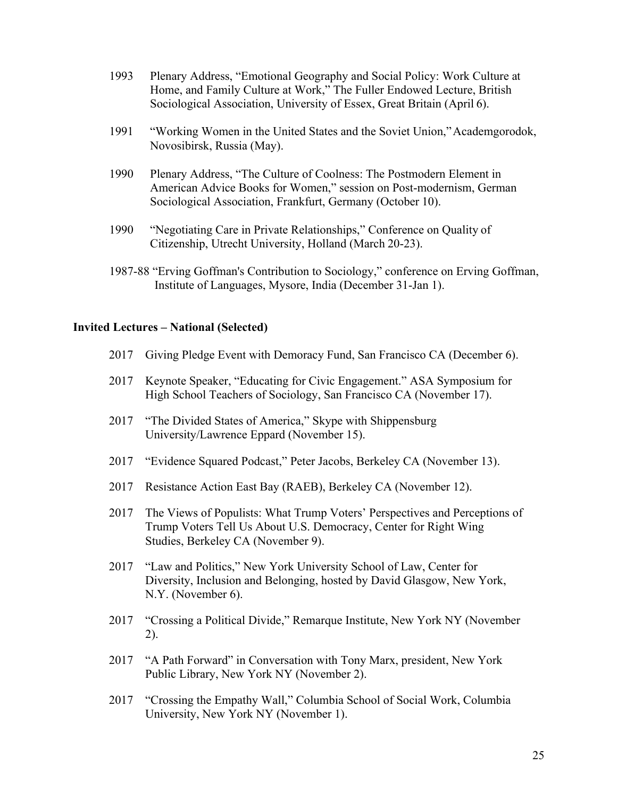- 1993 Plenary Address, "Emotional Geography and Social Policy: Work Culture at Home, and Family Culture at Work," The Fuller Endowed Lecture, British Sociological Association, University of Essex, Great Britain (April 6).
- 1991 "Working Women in the United States and the Soviet Union,"Academgorodok, Novosibirsk, Russia (May).
- 1990 Plenary Address, "The Culture of Coolness: The Postmodern Element in American Advice Books for Women," session on Post-modernism, German Sociological Association, Frankfurt, Germany (October 10).
- 1990 "Negotiating Care in Private Relationships," Conference on Quality of Citizenship, Utrecht University, Holland (March 20-23).
- 1987-88 "Erving Goffman's Contribution to Sociology," conference on Erving Goffman, Institute of Languages, Mysore, India (December 31-Jan 1).

#### **Invited Lectures – National (Selected)**

- 2017 Giving Pledge Event with Demoracy Fund, San Francisco CA (December 6).
- 2017 Keynote Speaker, "Educating for Civic Engagement." ASA Symposium for High School Teachers of Sociology, San Francisco CA (November 17).
- 2017 "The Divided States of America," Skype with Shippensburg University/Lawrence Eppard (November 15).
- 2017 "Evidence Squared Podcast," Peter Jacobs, Berkeley CA (November 13).
- 2017 Resistance Action East Bay (RAEB), Berkeley CA (November 12).
- 2017 The Views of Populists: What Trump Voters' Perspectives and Perceptions of Trump Voters Tell Us About U.S. Democracy, Center for Right Wing Studies, Berkeley CA (November 9).
- 2017 "Law and Politics," New York University School of Law, Center for Diversity, Inclusion and Belonging, hosted by David Glasgow, New York, N.Y. (November 6).
- 2017 "Crossing a Political Divide," Remarque Institute, New York NY (November 2).
- 2017 "A Path Forward" in Conversation with Tony Marx, president, New York Public Library, New York NY (November 2).
- 2017 "Crossing the Empathy Wall," Columbia School of Social Work, Columbia University, New York NY (November 1).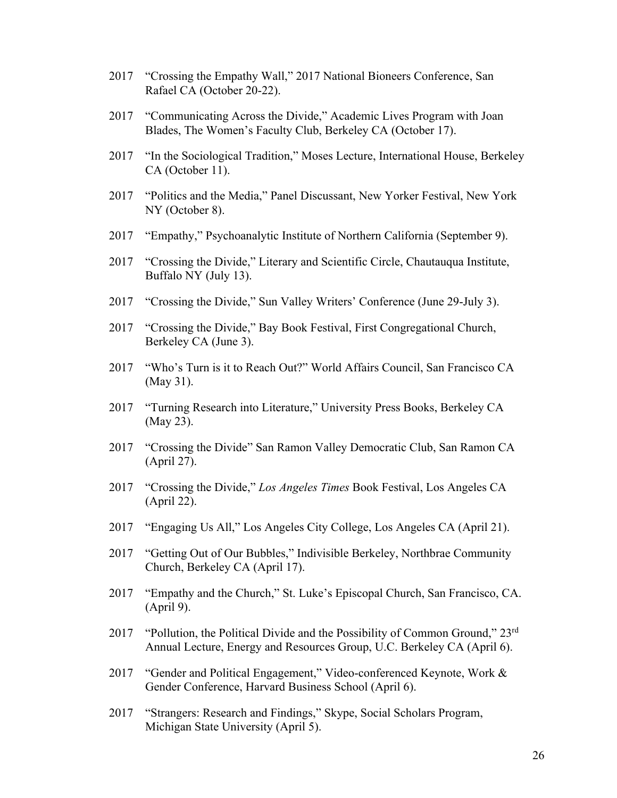- 2017 "Crossing the Empathy Wall," 2017 National Bioneers Conference, San Rafael CA (October 20-22).
- 2017 "Communicating Across the Divide," Academic Lives Program with Joan Blades, The Women's Faculty Club, Berkeley CA (October 17).
- 2017 "In the Sociological Tradition," Moses Lecture, International House, Berkeley CA (October 11).
- 2017 "Politics and the Media," Panel Discussant, New Yorker Festival, New York NY (October 8).
- 2017 "Empathy," Psychoanalytic Institute of Northern California (September 9).
- 2017 "Crossing the Divide," Literary and Scientific Circle, Chautauqua Institute, Buffalo NY (July 13).
- 2017 "Crossing the Divide," Sun Valley Writers' Conference (June 29-July 3).
- 2017 "Crossing the Divide," Bay Book Festival, First Congregational Church, Berkeley CA (June 3).
- 2017 "Who's Turn is it to Reach Out?" World Affairs Council, San Francisco CA (May 31).
- 2017 "Turning Research into Literature," University Press Books, Berkeley CA (May 23).
- 2017 "Crossing the Divide" San Ramon Valley Democratic Club, San Ramon CA (April 27).
- 2017 "Crossing the Divide," *Los Angeles Times* Book Festival, Los Angeles CA (April 22).
- 2017 "Engaging Us All," Los Angeles City College, Los Angeles CA (April 21).
- 2017 "Getting Out of Our Bubbles," Indivisible Berkeley, Northbrae Community Church, Berkeley CA (April 17).
- 2017 "Empathy and the Church," St. Luke's Episcopal Church, San Francisco, CA. (April 9).
- 2017 "Pollution, the Political Divide and the Possibility of Common Ground,"  $23<sup>rd</sup>$ Annual Lecture, Energy and Resources Group, U.C. Berkeley CA (April 6).
- 2017 "Gender and Political Engagement," Video-conferenced Keynote, Work & Gender Conference, Harvard Business School (April 6).
- 2017 "Strangers: Research and Findings," Skype, Social Scholars Program, Michigan State University (April 5).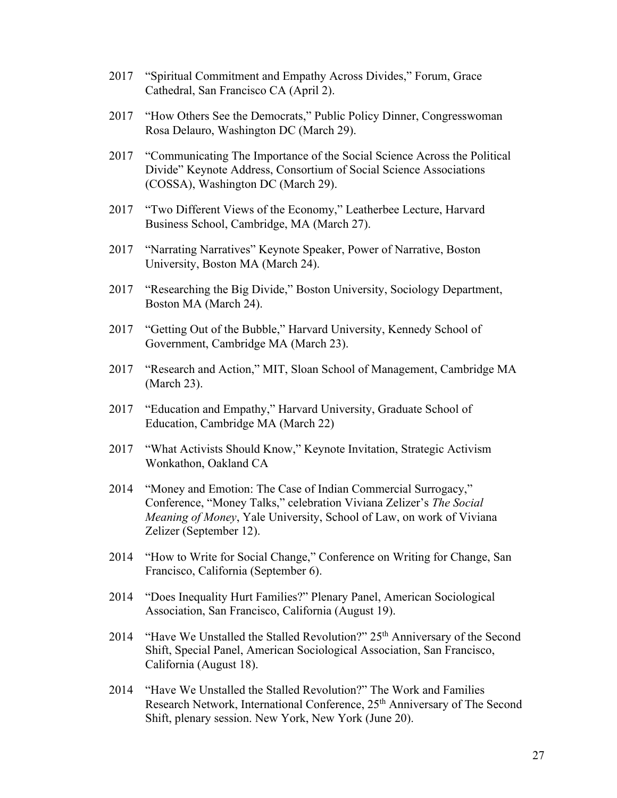- 2017 "Spiritual Commitment and Empathy Across Divides," Forum, Grace Cathedral, San Francisco CA (April 2).
- 2017 "How Others See the Democrats," Public Policy Dinner, Congresswoman Rosa Delauro, Washington DC (March 29).
- 2017 "Communicating The Importance of the Social Science Across the Political Divide" Keynote Address, Consortium of Social Science Associations (COSSA), Washington DC (March 29).
- 2017 "Two Different Views of the Economy," Leatherbee Lecture, Harvard Business School, Cambridge, MA (March 27).
- 2017 "Narrating Narratives" Keynote Speaker, Power of Narrative, Boston University, Boston MA (March 24).
- 2017 "Researching the Big Divide," Boston University, Sociology Department, Boston MA (March 24).
- 2017 "Getting Out of the Bubble," Harvard University, Kennedy School of Government, Cambridge MA (March 23).
- 2017 "Research and Action," MIT, Sloan School of Management, Cambridge MA (March 23).
- 2017 "Education and Empathy," Harvard University, Graduate School of Education, Cambridge MA (March 22)
- 2017 "What Activists Should Know," Keynote Invitation, Strategic Activism Wonkathon, Oakland CA
- 2014 "Money and Emotion: The Case of Indian Commercial Surrogacy," Conference, "Money Talks," celebration Viviana Zelizer's *The Social Meaning of Money*, Yale University, School of Law, on work of Viviana Zelizer (September 12).
- 2014 "How to Write for Social Change," Conference on Writing for Change, San Francisco, California (September 6).
- 2014 "Does Inequality Hurt Families?" Plenary Panel, American Sociological Association, San Francisco, California (August 19).
- 2014 "Have We Unstalled the Stalled Revolution?" 25<sup>th</sup> Anniversary of the Second Shift, Special Panel, American Sociological Association, San Francisco, California (August 18).
- 2014 "Have We Unstalled the Stalled Revolution?" The Work and Families Research Network, International Conference, 25<sup>th</sup> Anniversary of The Second Shift, plenary session. New York, New York (June 20).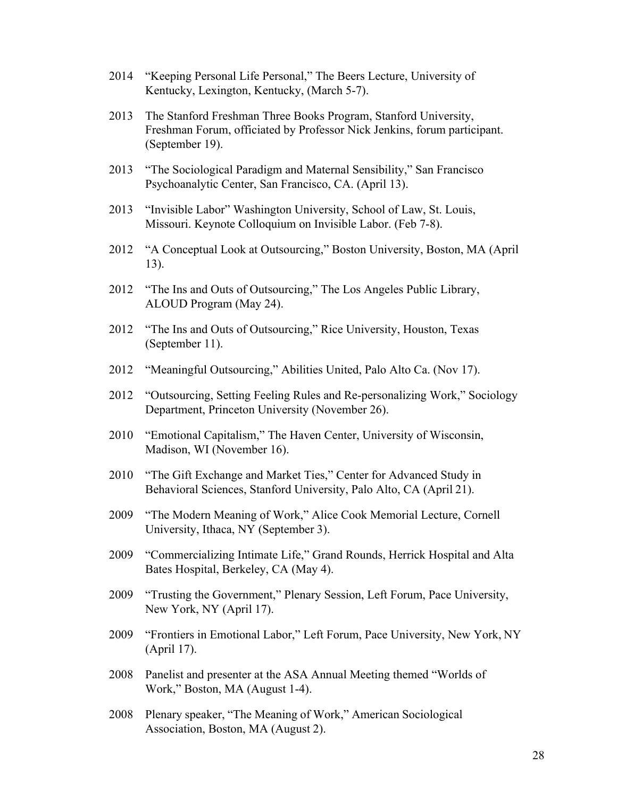- 2014 "Keeping Personal Life Personal," The Beers Lecture, University of Kentucky, Lexington, Kentucky, (March 5-7).
- 2013 The Stanford Freshman Three Books Program, Stanford University, Freshman Forum, officiated by Professor Nick Jenkins, forum participant. (September 19).
- 2013 "The Sociological Paradigm and Maternal Sensibility," San Francisco Psychoanalytic Center, San Francisco, CA. (April 13).
- 2013 "Invisible Labor" Washington University, School of Law, St. Louis, Missouri. Keynote Colloquium on Invisible Labor. (Feb 7-8).
- 2012 "A Conceptual Look at Outsourcing," Boston University, Boston, MA (April 13).
- 2012 "The Ins and Outs of Outsourcing," The Los Angeles Public Library, ALOUD Program (May 24).
- 2012 "The Ins and Outs of Outsourcing," Rice University, Houston, Texas (September 11).
- 2012 "Meaningful Outsourcing," Abilities United, Palo Alto Ca. (Nov 17).
- 2012 "Outsourcing, Setting Feeling Rules and Re-personalizing Work," Sociology Department, Princeton University (November 26).
- 2010 "Emotional Capitalism," The Haven Center, University of Wisconsin, Madison, WI (November 16).
- 2010 "The Gift Exchange and Market Ties," Center for Advanced Study in Behavioral Sciences, Stanford University, Palo Alto, CA (April 21).
- 2009 "The Modern Meaning of Work," Alice Cook Memorial Lecture, Cornell University, Ithaca, NY (September 3).
- 2009 "Commercializing Intimate Life," Grand Rounds, Herrick Hospital and Alta Bates Hospital, Berkeley, CA (May 4).
- 2009 "Trusting the Government," Plenary Session, Left Forum, Pace University, New York, NY (April 17).
- 2009 "Frontiers in Emotional Labor," Left Forum, Pace University, New York, NY (April 17).
- 2008 Panelist and presenter at the ASA Annual Meeting themed "Worlds of Work," Boston, MA (August 1-4).
- 2008 Plenary speaker, "The Meaning of Work," American Sociological Association, Boston, MA (August 2).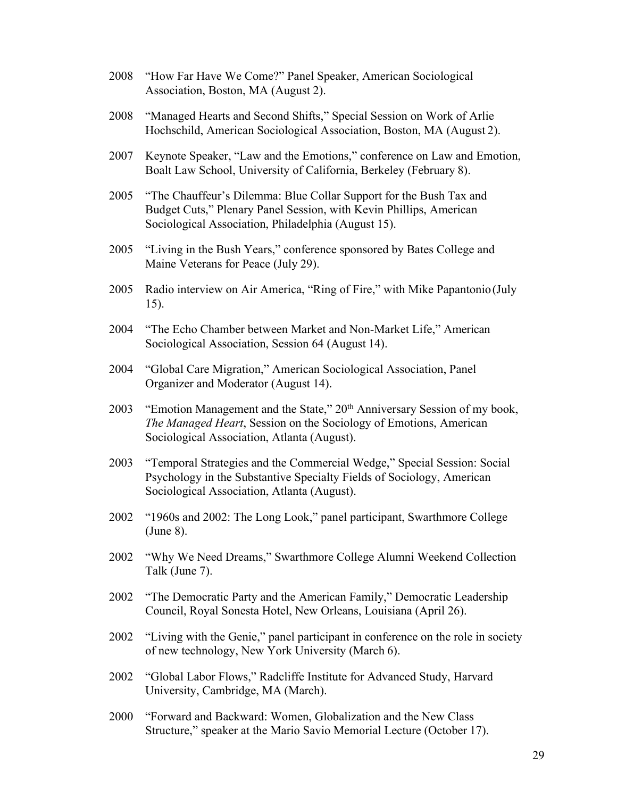- 2008 "How Far Have We Come?" Panel Speaker, American Sociological Association, Boston, MA (August 2).
- 2008 "Managed Hearts and Second Shifts," Special Session on Work of Arlie Hochschild, American Sociological Association, Boston, MA (August 2).
- 2007 Keynote Speaker, "Law and the Emotions," conference on Law and Emotion, Boalt Law School, University of California, Berkeley (February 8).
- 2005 "The Chauffeur's Dilemma: Blue Collar Support for the Bush Tax and Budget Cuts," Plenary Panel Session, with Kevin Phillips, American Sociological Association, Philadelphia (August 15).
- 2005 "Living in the Bush Years," conference sponsored by Bates College and Maine Veterans for Peace (July 29).
- 2005 Radio interview on Air America, "Ring of Fire," with Mike Papantonio(July 15).
- 2004 "The Echo Chamber between Market and Non-Market Life," American Sociological Association, Session 64 (August 14).
- 2004 "Global Care Migration," American Sociological Association, Panel Organizer and Moderator (August 14).
- 2003 "Emotion Management and the State," 20<sup>th</sup> Anniversary Session of my book, *The Managed Heart*, Session on the Sociology of Emotions, American Sociological Association, Atlanta (August).
- 2003 "Temporal Strategies and the Commercial Wedge," Special Session: Social Psychology in the Substantive Specialty Fields of Sociology, American Sociological Association, Atlanta (August).
- 2002 "1960s and 2002: The Long Look," panel participant, Swarthmore College (June 8).
- 2002 "Why We Need Dreams," Swarthmore College Alumni Weekend Collection Talk (June 7).
- 2002 "The Democratic Party and the American Family," Democratic Leadership Council, Royal Sonesta Hotel, New Orleans, Louisiana (April 26).
- 2002 "Living with the Genie," panel participant in conference on the role in society of new technology, New York University (March 6).
- 2002 "Global Labor Flows," Radcliffe Institute for Advanced Study, Harvard University, Cambridge, MA (March).
- 2000 "Forward and Backward: Women, Globalization and the New Class Structure," speaker at the Mario Savio Memorial Lecture (October 17).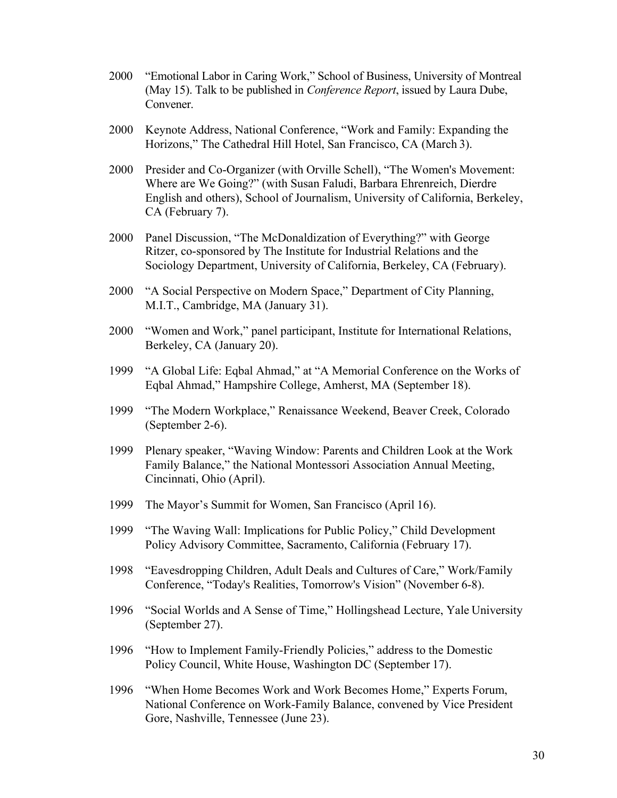- 2000 "Emotional Labor in Caring Work," School of Business, University of Montreal (May 15). Talk to be published in *Conference Report*, issued by Laura Dube, Convener.
- 2000 Keynote Address, National Conference, "Work and Family: Expanding the Horizons," The Cathedral Hill Hotel, San Francisco, CA (March 3).
- 2000 Presider and Co-Organizer (with Orville Schell), "The Women's Movement: Where are We Going?" (with Susan Faludi, Barbara Ehrenreich, Dierdre English and others), School of Journalism, University of California, Berkeley, CA (February 7).
- 2000 Panel Discussion, "The McDonaldization of Everything?" with George Ritzer, co-sponsored by The Institute for Industrial Relations and the Sociology Department, University of California, Berkeley, CA (February).
- 2000 "A Social Perspective on Modern Space," Department of City Planning, M.I.T., Cambridge, MA (January 31).
- 2000 "Women and Work," panel participant, Institute for International Relations, Berkeley, CA (January 20).
- 1999 "A Global Life: Eqbal Ahmad," at "A Memorial Conference on the Works of Eqbal Ahmad," Hampshire College, Amherst, MA (September 18).
- 1999 "The Modern Workplace," Renaissance Weekend, Beaver Creek, Colorado (September 2-6).
- 1999 Plenary speaker, "Waving Window: Parents and Children Look at the Work Family Balance," the National Montessori Association Annual Meeting, Cincinnati, Ohio (April).
- 1999 The Mayor's Summit for Women, San Francisco (April 16).
- 1999 "The Waving Wall: Implications for Public Policy," Child Development Policy Advisory Committee, Sacramento, California (February 17).
- 1998 "Eavesdropping Children, Adult Deals and Cultures of Care," Work/Family Conference, "Today's Realities, Tomorrow's Vision" (November 6-8).
- 1996 "Social Worlds and A Sense of Time," Hollingshead Lecture, Yale University (September 27).
- 1996 "How to Implement Family-Friendly Policies," address to the Domestic Policy Council, White House, Washington DC (September 17).
- 1996 "When Home Becomes Work and Work Becomes Home," Experts Forum, National Conference on Work-Family Balance, convened by Vice President Gore, Nashville, Tennessee (June 23).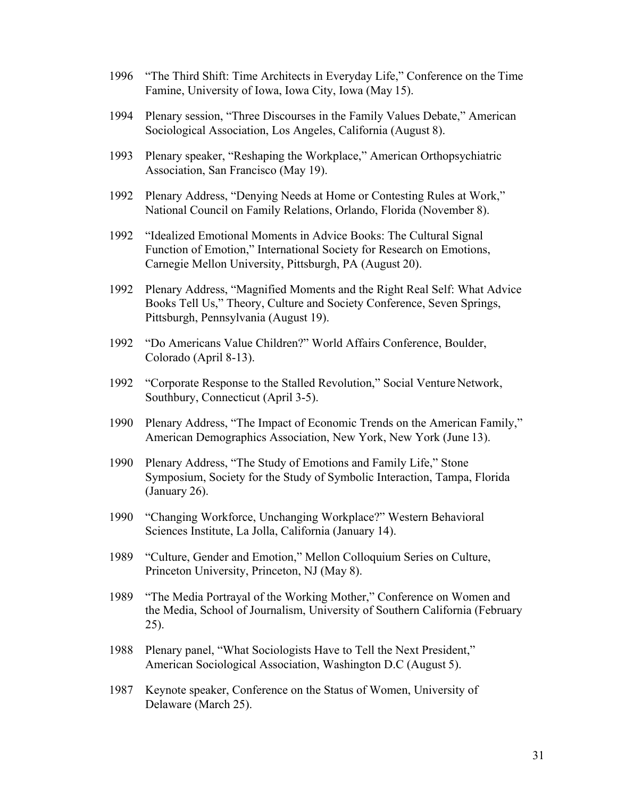- 1996 "The Third Shift: Time Architects in Everyday Life," Conference on the Time Famine, University of Iowa, Iowa City, Iowa (May 15).
- 1994 Plenary session, "Three Discourses in the Family Values Debate," American Sociological Association, Los Angeles, California (August 8).
- 1993 Plenary speaker, "Reshaping the Workplace," American Orthopsychiatric Association, San Francisco (May 19).
- 1992 Plenary Address, "Denying Needs at Home or Contesting Rules at Work," National Council on Family Relations, Orlando, Florida (November 8).
- 1992 "Idealized Emotional Moments in Advice Books: The Cultural Signal Function of Emotion," International Society for Research on Emotions, Carnegie Mellon University, Pittsburgh, PA (August 20).
- 1992 Plenary Address, "Magnified Moments and the Right Real Self: What Advice Books Tell Us," Theory, Culture and Society Conference, Seven Springs, Pittsburgh, Pennsylvania (August 19).
- 1992 "Do Americans Value Children?" World Affairs Conference, Boulder, Colorado (April 8-13).
- 1992 "Corporate Response to the Stalled Revolution," Social Venture Network, Southbury, Connecticut (April 3-5).
- 1990 Plenary Address, "The Impact of Economic Trends on the American Family," American Demographics Association, New York, New York (June 13).
- 1990 Plenary Address, "The Study of Emotions and Family Life," Stone Symposium, Society for the Study of Symbolic Interaction, Tampa, Florida (January 26).
- 1990 "Changing Workforce, Unchanging Workplace?" Western Behavioral Sciences Institute, La Jolla, California (January 14).
- 1989 "Culture, Gender and Emotion," Mellon Colloquium Series on Culture, Princeton University, Princeton, NJ (May 8).
- 1989 "The Media Portrayal of the Working Mother," Conference on Women and the Media, School of Journalism, University of Southern California (February 25).
- 1988 Plenary panel, "What Sociologists Have to Tell the Next President," American Sociological Association, Washington D.C (August 5).
- 1987 Keynote speaker, Conference on the Status of Women, University of Delaware (March 25).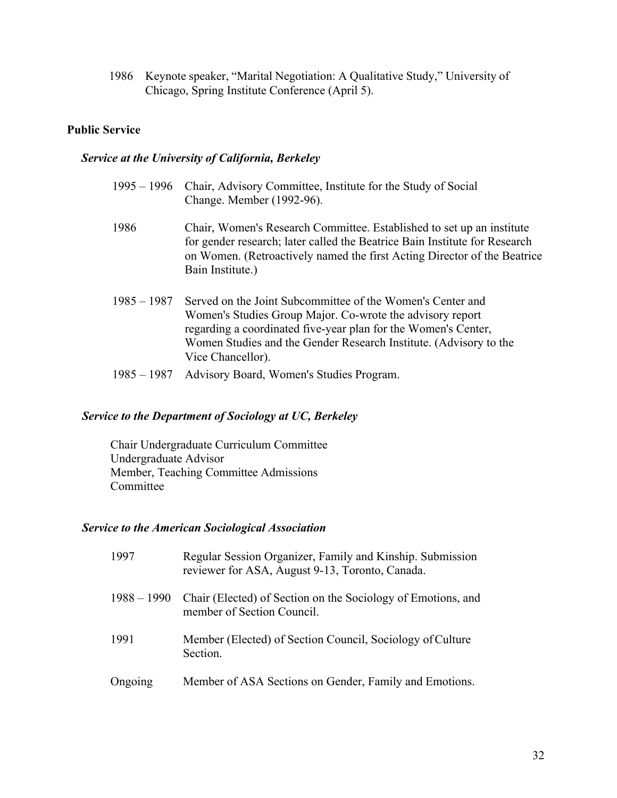1986 Keynote speaker, "Marital Negotiation: A Qualitative Study," University of Chicago, Spring Institute Conference (April 5).

## **Public Service**

## *Service at the University of California, Berkeley*

| $1995 - 1996$ | Chair, Advisory Committee, Institute for the Study of Social<br>Change. Member (1992-96).                                                                                                                                                                                           |
|---------------|-------------------------------------------------------------------------------------------------------------------------------------------------------------------------------------------------------------------------------------------------------------------------------------|
| 1986          | Chair, Women's Research Committee. Established to set up an institute<br>for gender research; later called the Beatrice Bain Institute for Research<br>on Women. (Retroactively named the first Acting Director of the Beatrice<br>Bain Institute.)                                 |
| $1985 - 1987$ | Served on the Joint Subcommittee of the Women's Center and<br>Women's Studies Group Major. Co-wrote the advisory report<br>regarding a coordinated five-year plan for the Women's Center,<br>Women Studies and the Gender Research Institute. (Advisory to the<br>Vice Chancellor). |
| $1985 - 1987$ | Advisory Board, Women's Studies Program.                                                                                                                                                                                                                                            |

## *Service to the Department of Sociology at UC, Berkeley*

Chair Undergraduate Curriculum Committee Undergraduate Advisor Member, Teaching Committee Admissions Committee

# *Service to the American Sociological Association*

| 1997          | Regular Session Organizer, Family and Kinship. Submission<br>reviewer for ASA, August 9-13, Toronto, Canada. |
|---------------|--------------------------------------------------------------------------------------------------------------|
| $1988 - 1990$ | Chair (Elected) of Section on the Sociology of Emotions, and<br>member of Section Council.                   |
| 1991          | Member (Elected) of Section Council, Sociology of Culture<br>Section.                                        |
| Ongoing       | Member of ASA Sections on Gender, Family and Emotions.                                                       |